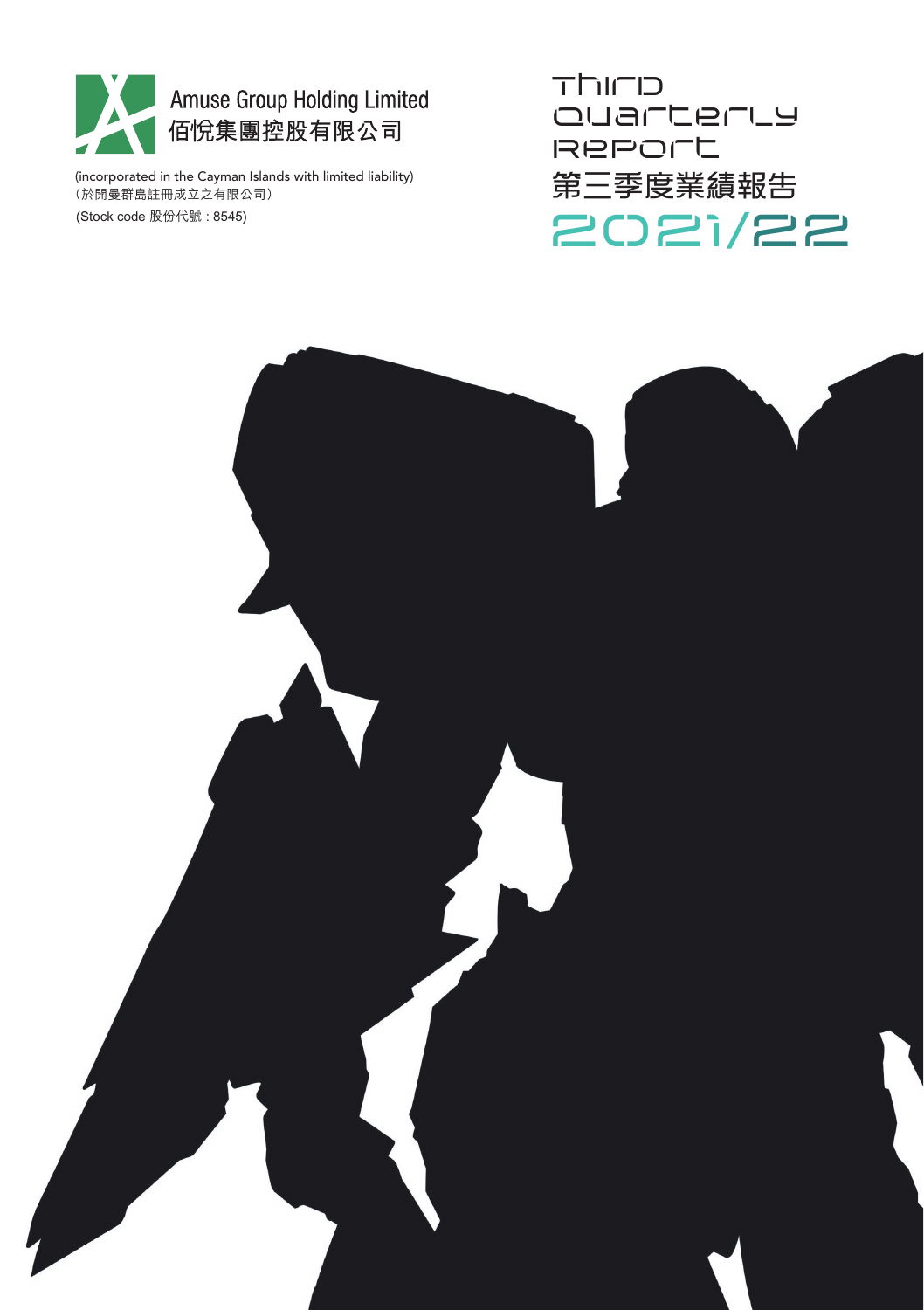

(於開曼群島註冊成立之有限公司) (incorporated in the Cayman Islands with limited liability) (Stock code 股份代號 : 8545)

 $T$ Quarterly Report 第三季度業績報告 2021/22

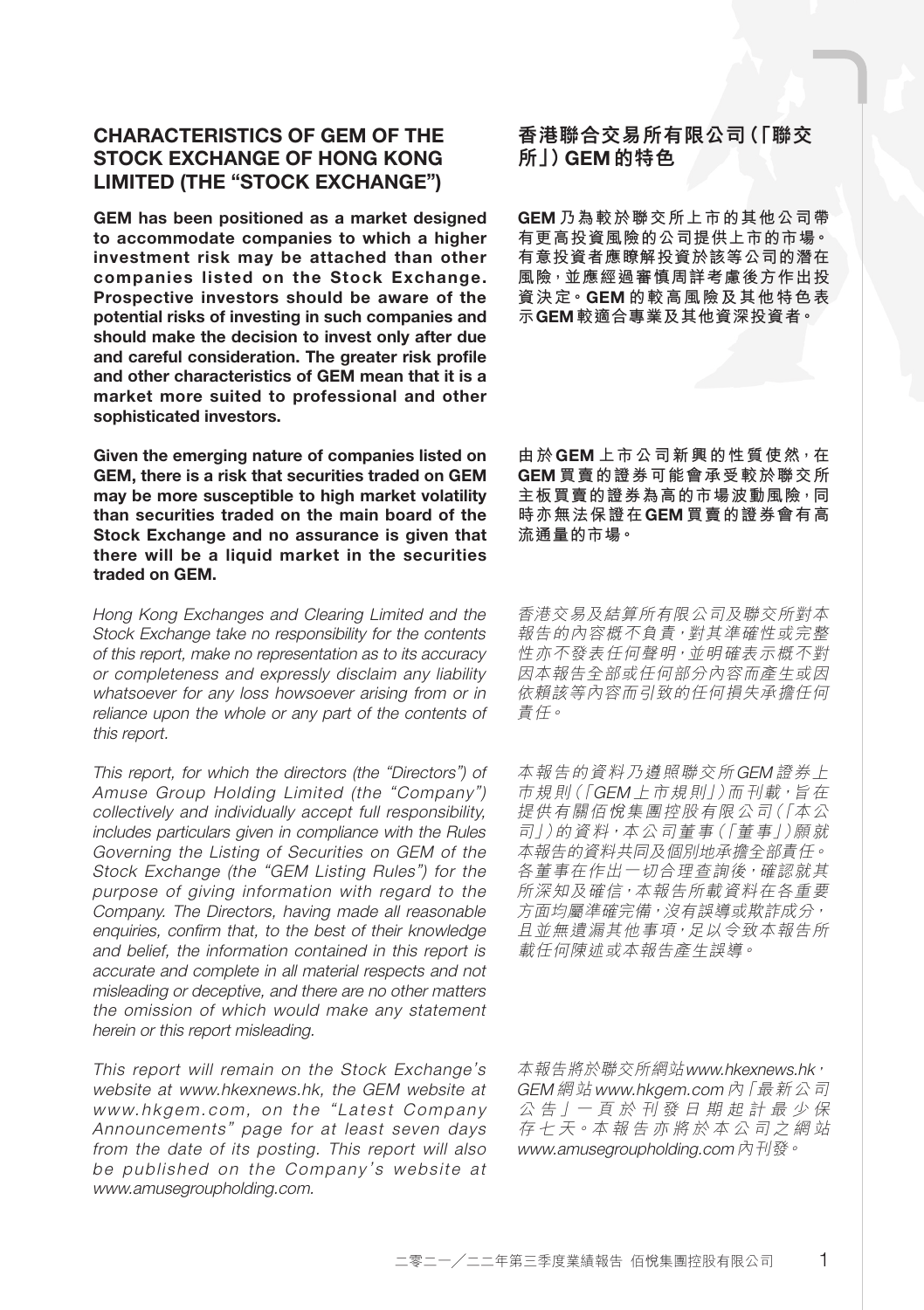# CHARACTERISTICS OF GEM OF THE STOCK EXCHANGE OF HONG KONG LIMITED (THE "STOCK EXCHANGE")

GEM has been positioned as a market designed to accommodate companies to which a higher investment risk may be attached than other companies listed on the Stock Exchange. Prospective investors should be aware of the potential risks of investing in such companies and should make the decision to invest only after due and careful consideration. The greater risk profile and other characteristics of GEM mean that it is a market more suited to professional and other sophisticated investors.

Given the emerging nature of companies listed on GEM, there is a risk that securities traded on GEM may be more susceptible to high market volatility than securities traded on the main board of the Stock Exchange and no assurance is given that there will be a liquid market in the securities traded on GEM.

Hong Kong Exchanges and Clearing Limited and the Stock Exchange take no responsibility for the contents of this report, make no representation as to its accuracy or completeness and expressly disclaim any liability whatsoever for any loss howsoever arising from or in reliance upon the whole or any part of the contents of this report.

This report, for which the directors (the "Directors") of Amuse Group Holding Limited (the "Company") collectively and individually accept full responsibility, includes particulars given in compliance with the Rules Governing the Listing of Securities on GEM of the Stock Exchange (the "GEM Listing Rules") for the purpose of giving information with regard to the Company. The Directors, having made all reasonable enquiries, confirm that, to the best of their knowledge and belief, the information contained in this report is accurate and complete in all material respects and not misleading or deceptive, and there are no other matters the omission of which would make any statement herein or this report misleading.

This report will remain on the Stock Exchange's website at www.hkexnews.hk, the GEM website at www.hkgem.com, on the "Latest Company Announcements" page for at least seven days from the date of its posting. This report will also be published on the Company's website at www.amusegroupholding.com.

香港聯合交易所有限公司(「聯交 所1) GFM 的特色

GEM **乃為較於聯交所上市的其他公司帶 有更高投資風險的公司提供上市的市場。 有意投資者應瞭解投資於該等公司的潛在 風險,並應經過審慎周詳考慮後方作出投 資決定。**GEM **的較高風險及其他特色表 示**GEM**較適合專業及其他資深投資者。**

**由於** GEM **上市公司新興的性質使然,在** GEM **買賣的證券可能會承受較於聯交所 主板買賣的證券為高的市場波動風險,同 時亦無法保證在**GEM **買賣的證券會有高 流通量的市場。**

香港交易及結算所有限公司及聯交所對本 報告的內容概不負責,對其準確性或完整 性亦不發表任何聲明,並明確表示概不對 因本報告全部或任何部分內容而產生或因 依賴該等內容而引致的任何損失承擔任何 責任。

本報告的資料乃遵照聯交所GEM 證券上 市規則(「GEM 上市規則」)而刊載,旨在 提供有關佰悅集團控股有限公司(「本公 司」)的資料,本公司董事(「董事」)願就 本報告的資料共同及個別地承擔全部責任。 各董事在作出一切合理查詢後,確認就其 所深知及確信,本報告所載資料在各重要 方面均屬準確完備,沒有誤導或欺詐成分, 且並無遺漏其他事項,足以令致本報告所 載任何陳述或本報告產生誤導。

本報告將於聯交所網站www.hkexnews.hk, GEM 網站 www.hkgem.com 內「最新公司 公 告 」一 頁 於 刊 發 日 期 起 計 最 少 保 存 七 天。本 報 告 亦 將 於 本 公 司 之 網 站 www.amusegroupholding.com 內刊發。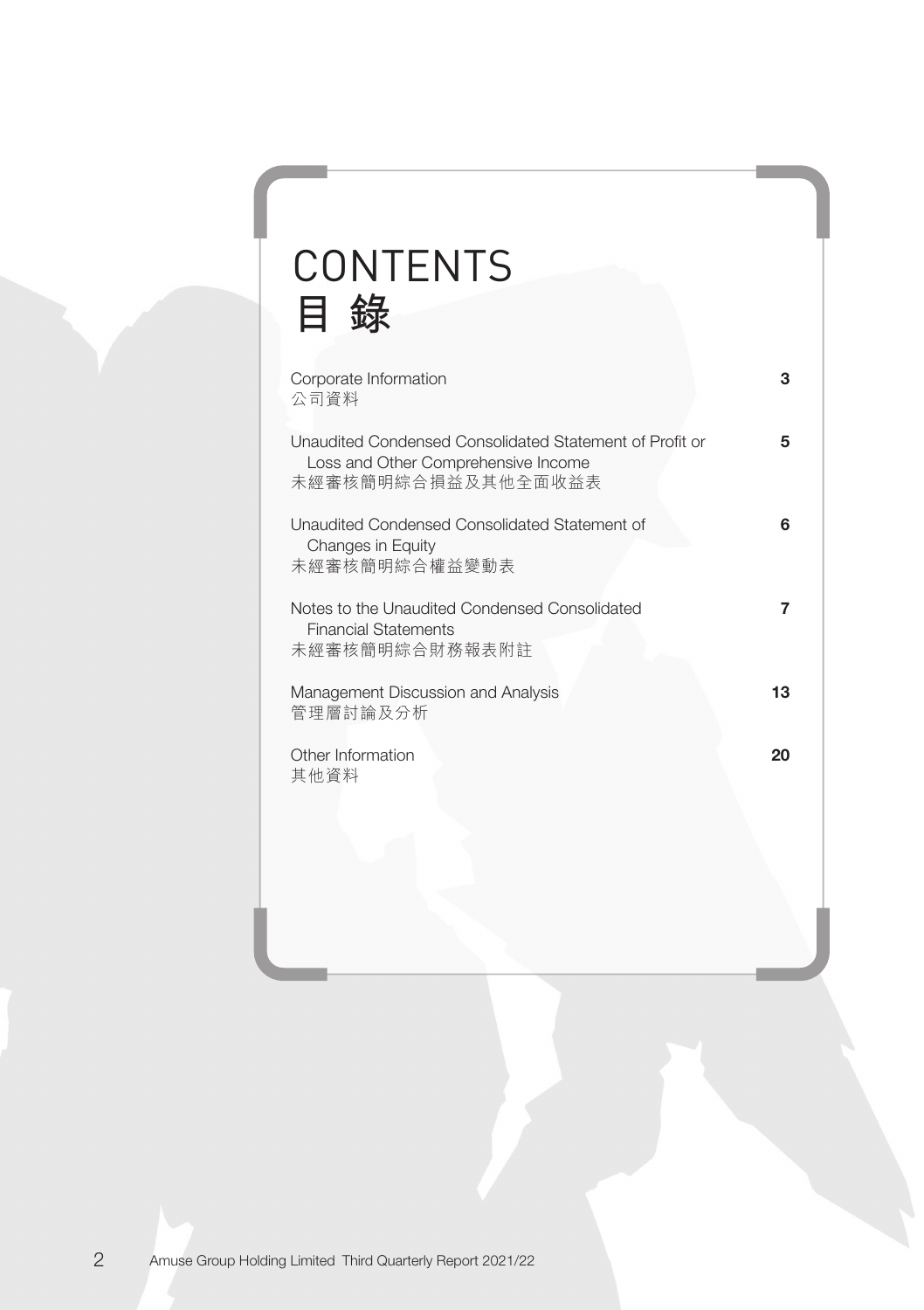# CONTENTS **目 錄**

| Corporate Information<br>公司資料                                                                                        | з  |
|----------------------------------------------------------------------------------------------------------------------|----|
| Unaudited Condensed Consolidated Statement of Profit or<br>Loss and Other Comprehensive Income<br>未經審核簡明綜合損益及其他全面收益表 | 5  |
| Unaudited Condensed Consolidated Statement of<br>Changes in Equity<br>未經審核簡明綜合權益變動表                                  | հ  |
| Notes to the Unaudited Condensed Consolidated<br><b>Financial Statements</b><br>未經審核簡明綜合財務報表附註                       |    |
| Management Discussion and Analysis<br>管理層討論及分析                                                                       | 13 |
| Other Information<br>其他資料                                                                                            | 20 |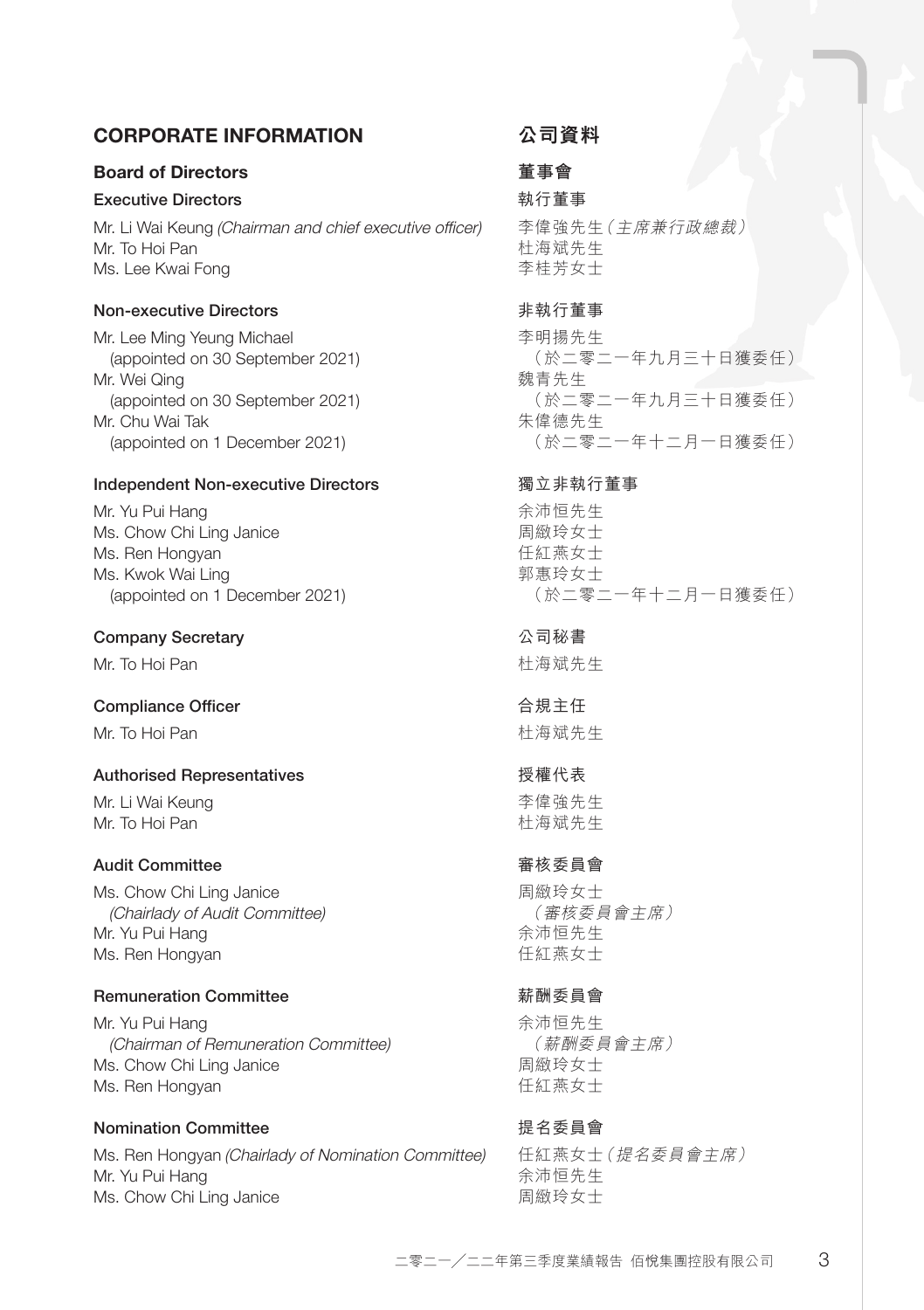# CORPORATE INFORMATION

# Board of Directors

# Executive Directors

Mr. Li Wai Keung (Chairman and chief executive officer) Mr. To Hoi Pan Ms. Lee Kwai Fong

# Non-executive Directors

Mr. Lee Ming Yeung Michael (appointed on 30 September 2021) Mr. Wei Qing (appointed on 30 September 2021) Mr. Chu Wai Tak (appointed on 1 December 2021)

#### Independent Non-executive Directors

Mr. Yu Pui Hang Ms. Chow Chi Ling Janice Ms. Ren Hongyan Ms. Kwok Wai Ling (appointed on 1 December 2021)

#### Company Secretary

Mr. To Hoi Pan

## Compliance Officer

Mr. To Hoi Pan

# Authorised Representatives

Mr. Li Wai Keung Mr. To Hoi Pan

# Audit Committee

Ms. Chow Chi Ling Janice (Chairlady of Audit Committee) Mr. Yu Pui Hang Ms. Ren Hongyan

# Remuneration Committee

Mr. Yu Pui Hang (Chairman of Remuneration Committee) Ms. Chow Chi Ling Janice Ms. Ren Hongyan

# Nomination Committee

Ms. Ren Hongyan (Chairlady of Nomination Committee) Mr. Yu Pui Hang Ms. Chow Chi Ling Janice

# 公司資料

# **董事會**

執行董事 李偉強先生(主席兼行政總裁) 杜海斌先生 李桂芳女士

# 非執行董事

李明揚先生 (於二零二一年九月三十日獲委任) 魏青先生 (於二零二一年九月三十日獲委任) 朱偉德先生 (於二零二一年十二月一日獲委任)

# 獨立非執行董事

余沛恒先生 周緻玲女士 任紅燕女士 郭惠玲女士 (於二零二一年十二月一日獲委任)

公司秘書 杜海斌先生

合規主任 杜海斌先生

# 授權代表 李偉強先生

杜海斌先生

# 審核委員會

周緻玲女士 (審核委員會主席) 余沛恒先生 任紅燕女士

# 薪酬委員會

余沛恒先生 (薪酬委員會主席) 周緻玲女士 任紅燕女士

# 提名委員會

任紅燕女士(提名委員會主席) 余沛恒先生 周緻玲女士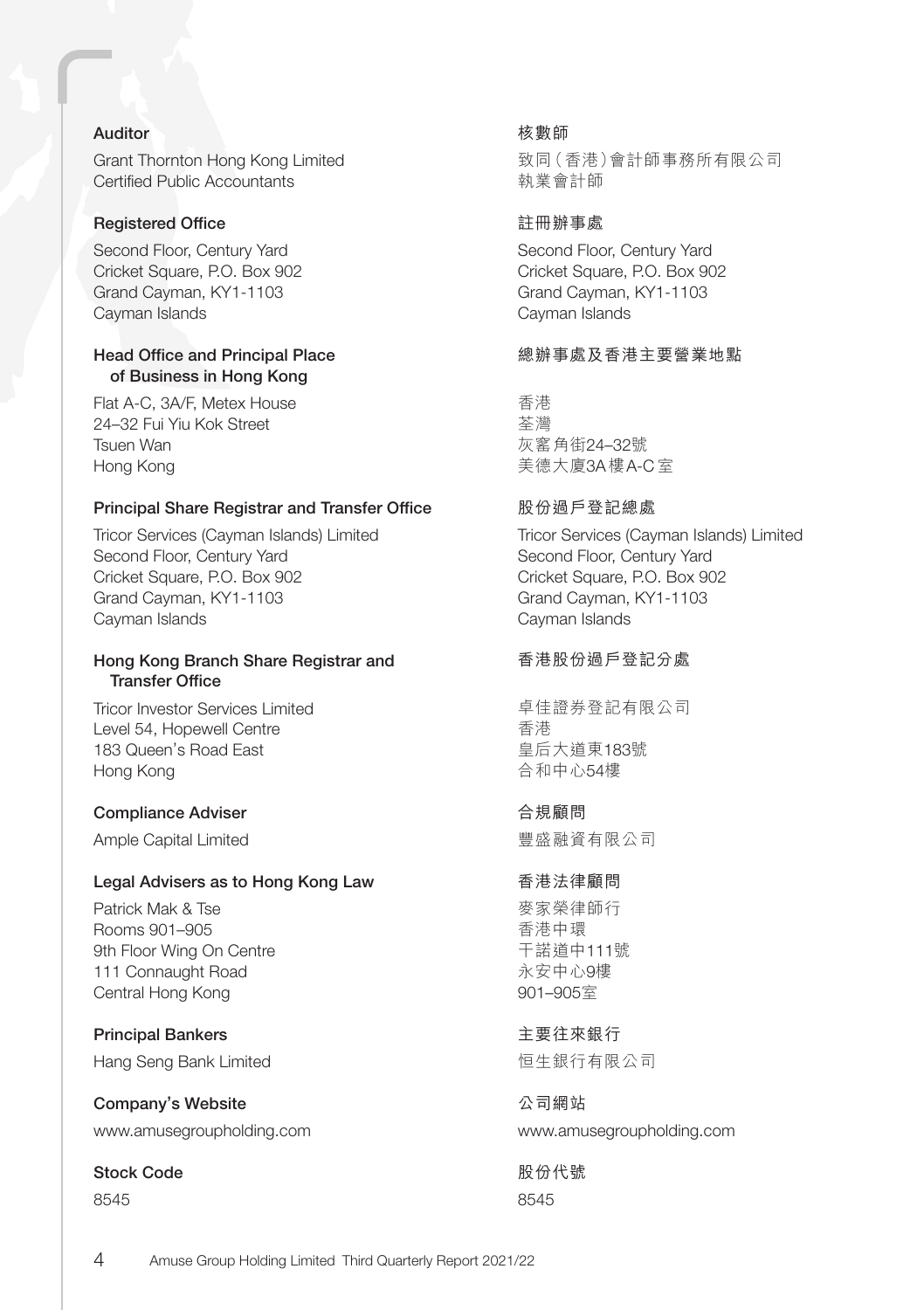#### Auditor

Grant Thornton Hong Kong Limited Certified Public Accountants

#### Registered Office

Second Floor, Century Yard Cricket Square, P.O. Box 902 Grand Cayman, KY1-1103 Cayman Islands

#### Head Office and Principal Place of Business in Hong Kong

Flat A-C, 3A/F, Metex House 24–32 Fui Yiu Kok Street Tsuen Wan Hong Kong

#### Principal Share Registrar and Transfer Office

Tricor Services (Cayman Islands) Limited Second Floor, Century Yard Cricket Square, P.O. Box 902 Grand Cayman, KY1-1103 Cayman Islands

# Hong Kong Branch Share Registrar and Transfer Office

Tricor Investor Services Limited Level 54, Hopewell Centre 183 Queen's Road East Hong Kong

#### Compliance Adviser

Ample Capital Limited

#### Legal Advisers as to Hong Kong Law

Patrick Mak & Tse Rooms 901–905 9th Floor Wing On Centre 111 Connaught Road Central Hong Kong

Principal Bankers Hang Seng Bank Limited

Company's Website

www.amusegroupholding.com

# Stock Code

8545

#### 核數師

致同(香港)會計師事務所有限公司 執業會計師

#### 註冊辦事處

Second Floor, Century Yard Cricket Square, P.O. Box 902 Grand Cayman, KY1-1103 Cayman Islands

# 總辦事處及香港主要營業地點

香港 荃灣 灰窰角街24–32號 美德大廈3A樓A-C室

# 股份過戶登記總處

Tricor Services (Cayman Islands) Limited Second Floor, Century Yard Cricket Square, P.O. Box 902 Grand Cayman, KY1-1103 Cayman Islands

# 香港股份過戶登記分處

卓佳證券登記有限公司 香港 皇后大道東183號 合和中心54樓

#### 合規顧問

豐盛融資有限公司

# 香港法律顧問

麥家榮律師行 香港中環 干諾道中111號 永安中心9樓 901–905室

主要往來銀行 恒生銀行有限公司

公司網站 www.amusegroupholding.com

股份代號 8545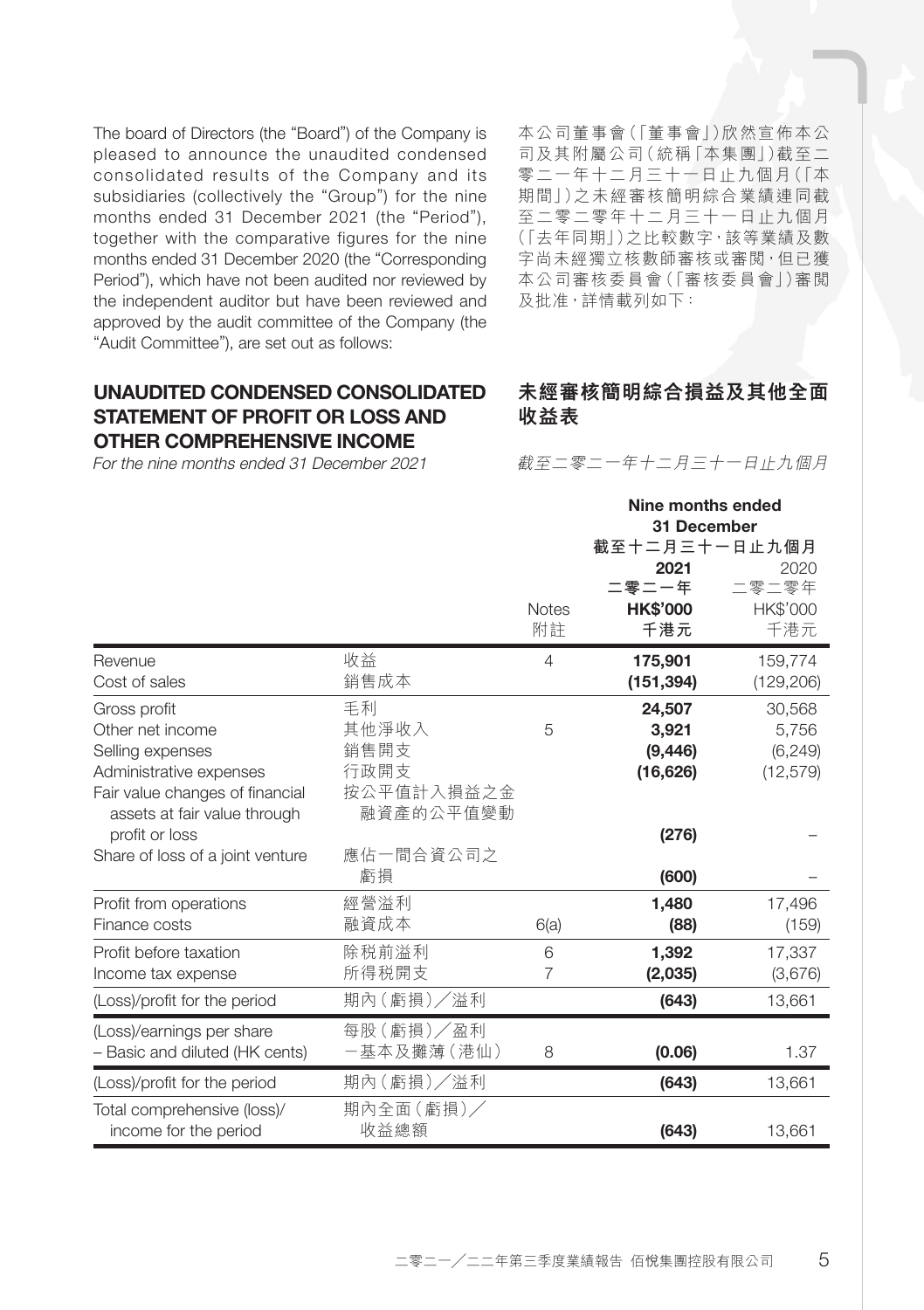The board of Directors (the "Board") of the Company is pleased to announce the unaudited condensed consolidated results of the Company and its subsidiaries (collectively the "Group") for the nine months ended 31 December 2021 (the "Period"), together with the comparative figures for the nine months ended 31 December 2020 (the "Corresponding Period"), which have not been audited nor reviewed by the independent auditor but have been reviewed and approved by the audit committee of the Company (the "Audit Committee"), are set out as follows:

本公司董事會(「董事會」)欣然宣佈本公 司及其附屬公司(統稱「本集團」)截至二 零二一年十二月三十一日止九個月(「本 期間」)之未經審核簡明綜合業績連同截 至二零二零年十二月三十一日止九個月 (「去年同期」)之比較數字,該等業績及數 字尚未經獨立核數師審核或審閲,但已獲 本公司審核委員會(「審核委員會」)審閱 及批准,詳情載列如下:

# UNAUDITED CONDENSED CONSOLIDATED STATEMENT OF PROFIT OR LOSS AND OTHER COMPREHENSIVE INCOME

For the nine months ended 31 December 2021

# 未經審核簡明綜合損益及其他全面 收益表

截至二零二一年十二月三十一日止九個月

|                                                                                                                    |                                           |                    | Nine months ended<br>31 December<br>截至十二月三十一日止九個月 |                                          |
|--------------------------------------------------------------------------------------------------------------------|-------------------------------------------|--------------------|---------------------------------------------------|------------------------------------------|
|                                                                                                                    |                                           |                    | 2021<br>二零二一年                                     | 2020<br>二零二零年                            |
|                                                                                                                    |                                           | <b>Notes</b><br>附註 | <b>HK\$'000</b><br>千港元                            | HK\$'000<br>千港元                          |
| Revenue<br>Cost of sales                                                                                           | 收益<br>銷售成本                                | 4                  | 175,901<br>(151, 394)                             | 159,774<br>(129, 206)                    |
| Gross profit<br>Other net income<br>Selling expenses<br>Administrative expenses<br>Fair value changes of financial | 手利<br>其他淨收入<br>銷售開支<br>行政開支<br>按公平值計入損益之金 | 5                  | 24.507<br>3,921<br>(9, 446)<br>(16, 626)          | 30.568<br>5,756<br>(6, 249)<br>(12, 579) |
| assets at fair value through<br>profit or loss<br>Share of loss of a joint venture                                 | 融資產的公平值變動<br>應佔一間合資公司之<br>虧損              |                    | (276)<br>(600)                                    |                                          |
| Profit from operations<br>Finance costs                                                                            | 經營溢利<br>融資成本                              | 6(a)               | 1,480<br>(88)                                     | 17,496<br>(159)                          |
| Profit before taxation<br>Income tax expense                                                                       | 除税前溢利<br>所得税開支                            | 6<br>7             | 1,392<br>(2,035)                                  | 17,337<br>(3,676)                        |
| (Loss)/profit for the period                                                                                       | 期內(虧損)/<br>徐利                             |                    | (643)                                             | 13,661                                   |
| (Loss)/earnings per share<br>- Basic and diluted (HK cents)                                                        | 每股(虧損)/盈利<br>-基本及攤薄(港仙)                   | 8                  | (0.06)                                            | 1.37                                     |
| (Loss)/profit for the period                                                                                       | 期內 (虧損) /溢利                               |                    | (643)                                             | 13,661                                   |
| Total comprehensive (loss)/<br>income for the period                                                               | 期內全面 (虧損)/<br>收益總額                        |                    | (643)                                             | 13,661                                   |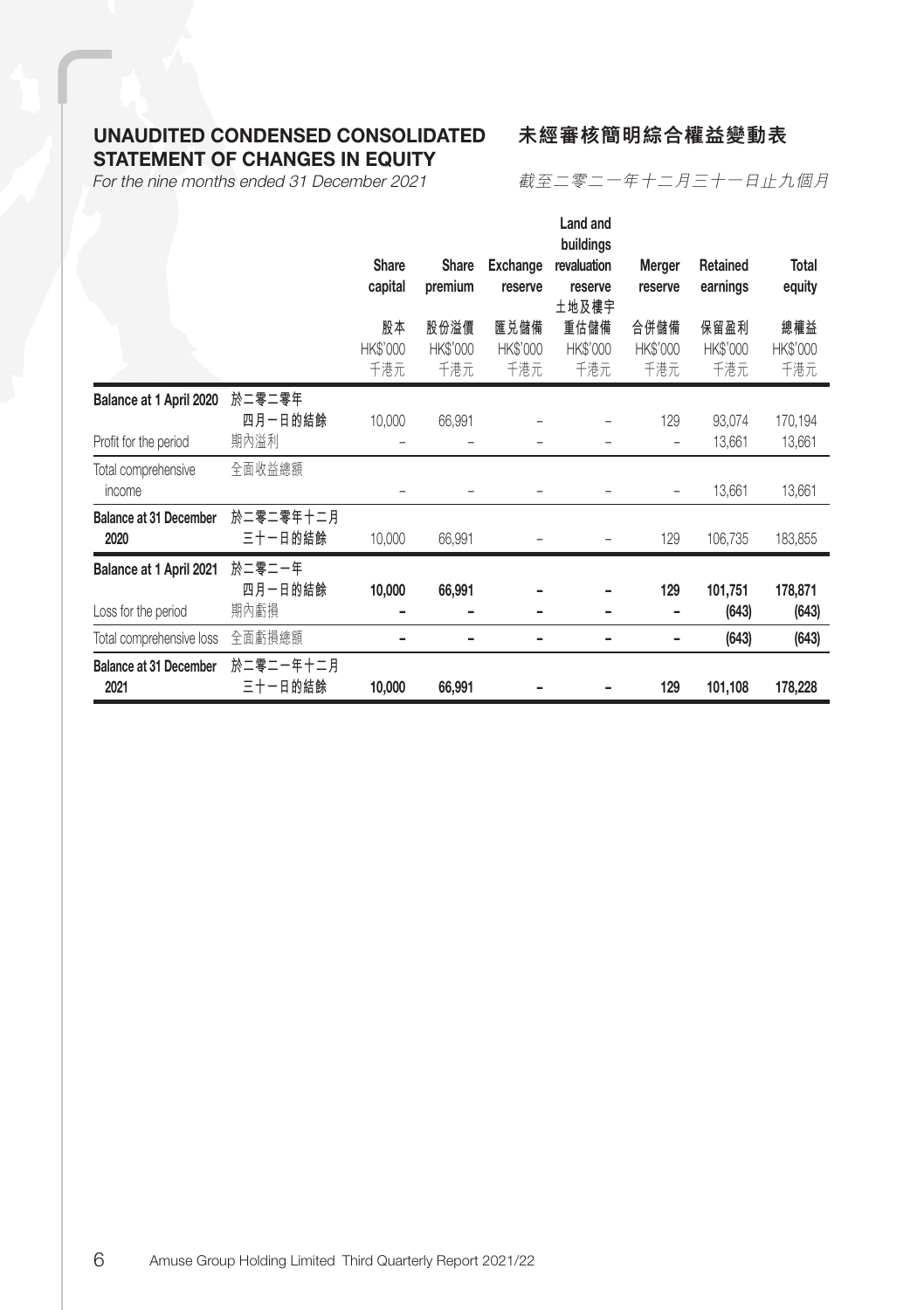# UNAUDITED CONDENSED CONSOLIDATED STATEMENT OF CHANGES IN EQUITY

# 未經審核簡明綜合權益變動表

For the nine months ended 31 December 2021

# 截至二零二一年十二月三十一日止九個月

|                                                |                           | <b>Share</b><br>capital | Share<br>premium        | Exchange<br>reserve            | Land and<br>buildings<br>revaluation<br>reserve<br>土地及樓宇 | Merger<br>reserve              | Retained<br>earnings           | Total<br>equity        |
|------------------------------------------------|---------------------------|-------------------------|-------------------------|--------------------------------|----------------------------------------------------------|--------------------------------|--------------------------------|------------------------|
|                                                |                           | 股本<br>HK\$'000<br>千港元   | 股份溢價<br>HK\$'000<br>千港元 | 匯兑儲備<br><b>HK\$'000</b><br>千港元 | 重估儲備<br>HK\$'000<br>千港元                                  | 合併儲備<br><b>HK\$'000</b><br>千港元 | 保留盈利<br><b>HK\$'000</b><br>千港元 | 總權益<br>HK\$'000<br>千港元 |
| Balance at 1 April 2020                        | 於二零二零年<br>四月一日的結餘         | 10,000                  | 66,991                  |                                |                                                          | 129                            | 93,074                         | 170,194                |
| Profit for the period                          | 期內溢利                      |                         |                         |                                |                                                          |                                | 13,661                         | 13,661                 |
| Total comprehensive<br>income                  | 全面收益總額                    |                         |                         |                                |                                                          |                                | 13,661                         | 13,661                 |
| <b>Balance at 31 December</b><br>2020          | 於二零二零年十二月<br>三十一日的結餘      | 10,000                  | 66,991                  |                                |                                                          | 129                            | 106,735                        | 183,855                |
| Balance at 1 April 2021<br>Loss for the period | 於二零二一年<br>四月一日的結餘<br>期內虧損 | 10,000                  | 66,991<br>-             |                                |                                                          | 129                            | 101,751<br>(643)               | 178,871<br>(643)       |
| Total comprehensive loss                       | 全面虧損總額                    |                         |                         |                                |                                                          |                                | (643)                          | (643)                  |
| <b>Balance at 31 December</b><br>2021          | 於二零二一年十二月<br>三十一日的結餘      | 10,000                  | 66,991                  |                                |                                                          | 129                            | 101,108                        | 178,228                |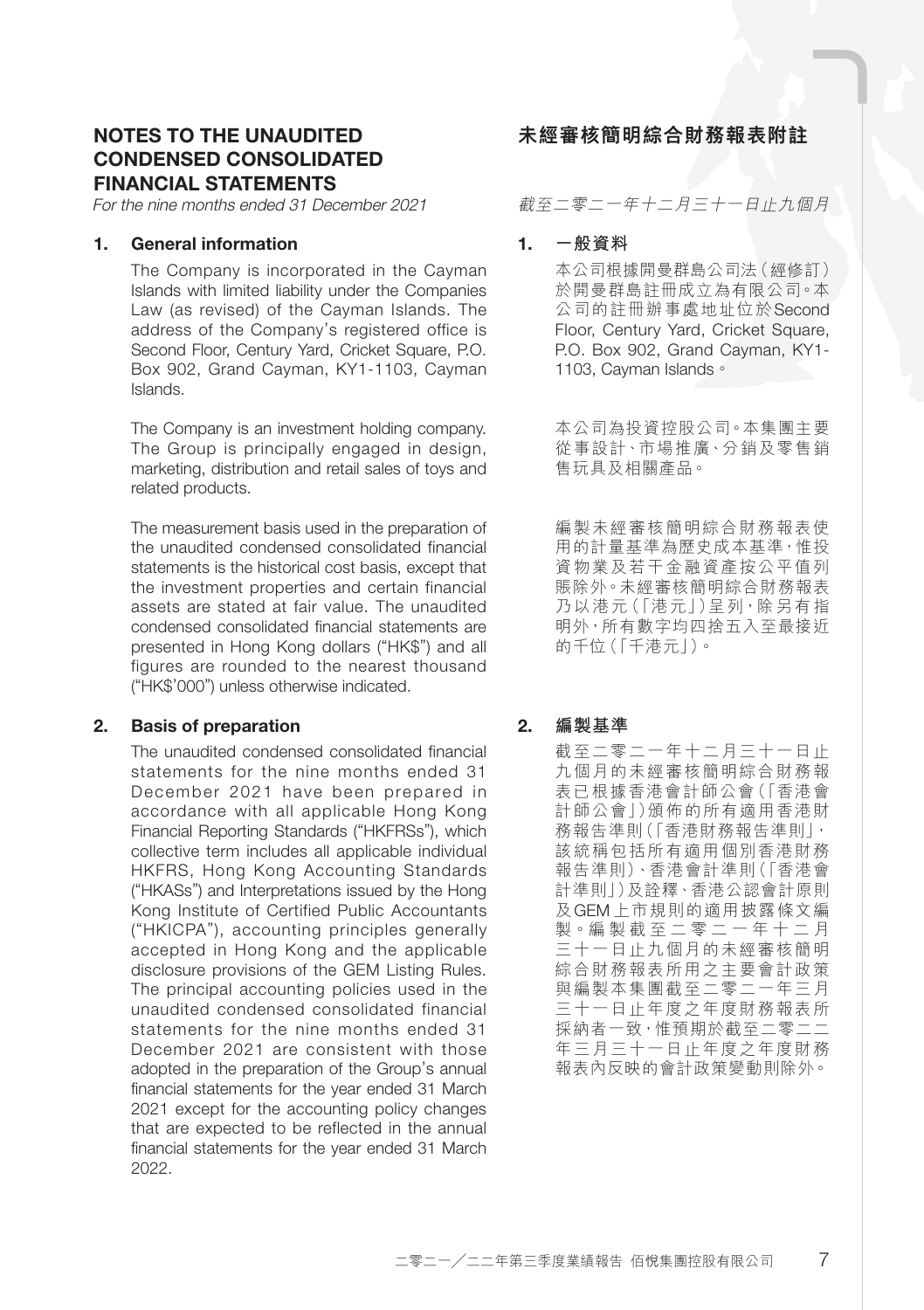# NOTES TO THE UNAUDITED CONDENSED CONSOLIDATED FINANCIAL STATEMENTS

For the nine months ended 31 December 2021

# 1. General information

The Company is incorporated in the Cayman Islands with limited liability under the Companies Law (as revised) of the Cayman Islands. The address of the Company's registered office is Second Floor, Century Yard, Cricket Square, P.O. Box 902, Grand Cayman, KY1-1103, Cayman Islands.

The Company is an investment holding company. The Group is principally engaged in design, marketing, distribution and retail sales of toys and related products.

The measurement basis used in the preparation of the unaudited condensed consolidated financial statements is the historical cost basis, except that the investment properties and certain financial assets are stated at fair value. The unaudited condensed consolidated financial statements are presented in Hong Kong dollars ("HK\$") and all figures are rounded to the nearest thousand ("HK\$'000") unless otherwise indicated.

# 2. Basis of preparation

The unaudited condensed consolidated financial statements for the nine months ended 31 December 2021 have been prepared in accordance with all applicable Hong Kong Financial Reporting Standards ("HKFRSs"), which collective term includes all applicable individual HKFRS, Hong Kong Accounting Standards ("HKASs") and Interpretations issued by the Hong Kong Institute of Certified Public Accountants ("HKICPA"), accounting principles generally accepted in Hong Kong and the applicable disclosure provisions of the GEM Listing Rules. The principal accounting policies used in the unaudited condensed consolidated financial statements for the nine months ended 31 December 2021 are consistent with those adopted in the preparation of the Group's annual financial statements for the year ended 31 March 2021 except for the accounting policy changes that are expected to be reflected in the annual financial statements for the year ended 31 March 2022.

# 未經審核簡明綜合財務報表附註

#### 截至二零二一年十二月三十一日止九個月

#### 1. **一般資料**

本公司根據開曼群島公司法(經修訂) 於開曼群島註冊成立為有限公司。本 公司的註冊辦事處地址位於Second Floor, Century Yard, Cricket Square, P.O. Box 902, Grand Cayman, KY1- 1103, Cavman Islands。

本公司為投資控股公司。本集團主要 從事設計、市場推廣、分銷及零售銷 售玩具及相關產品。

編製未經審核簡明綜合財務報表使 用的計量基準為歷史成本基準,惟投 資物業及若干金融資產按公平值列 賬除外。未經審核簡明綜合財務報表 乃以港元(「港元」)呈列,除另有指 明外,所有數字均四捨五入至最接近 的千位(「千港元」)。

#### 2. **編製基準**

截至二零二一年十二月三十一日止 九個月的未經審核簡明綜合財務報 表已根據香港會計師公會(「香港會 計師公會」)頒佈的所有適用香港財 務報告準則(「香港財務報告準則」, 該統稱包括所有適用個別香港財務 報告準則)、香港會計準則(「香港會 計準則」)及詮釋、香港公認會計原則 及GEM 上市規則的適用披露條文編 製。編 製 截 至 二 零 二 一 年 十 二 月 三十一日止九個月的未經審核簡明 綜合財務報表所用之主要會計政策 與編製本集團截至二零二一年三月 三十一日止年度之年度財務報表所 採納者一致,惟預期於截至二零二 年三月三十一日止年度之年度財務 報表內反映的會計政策變動則除外。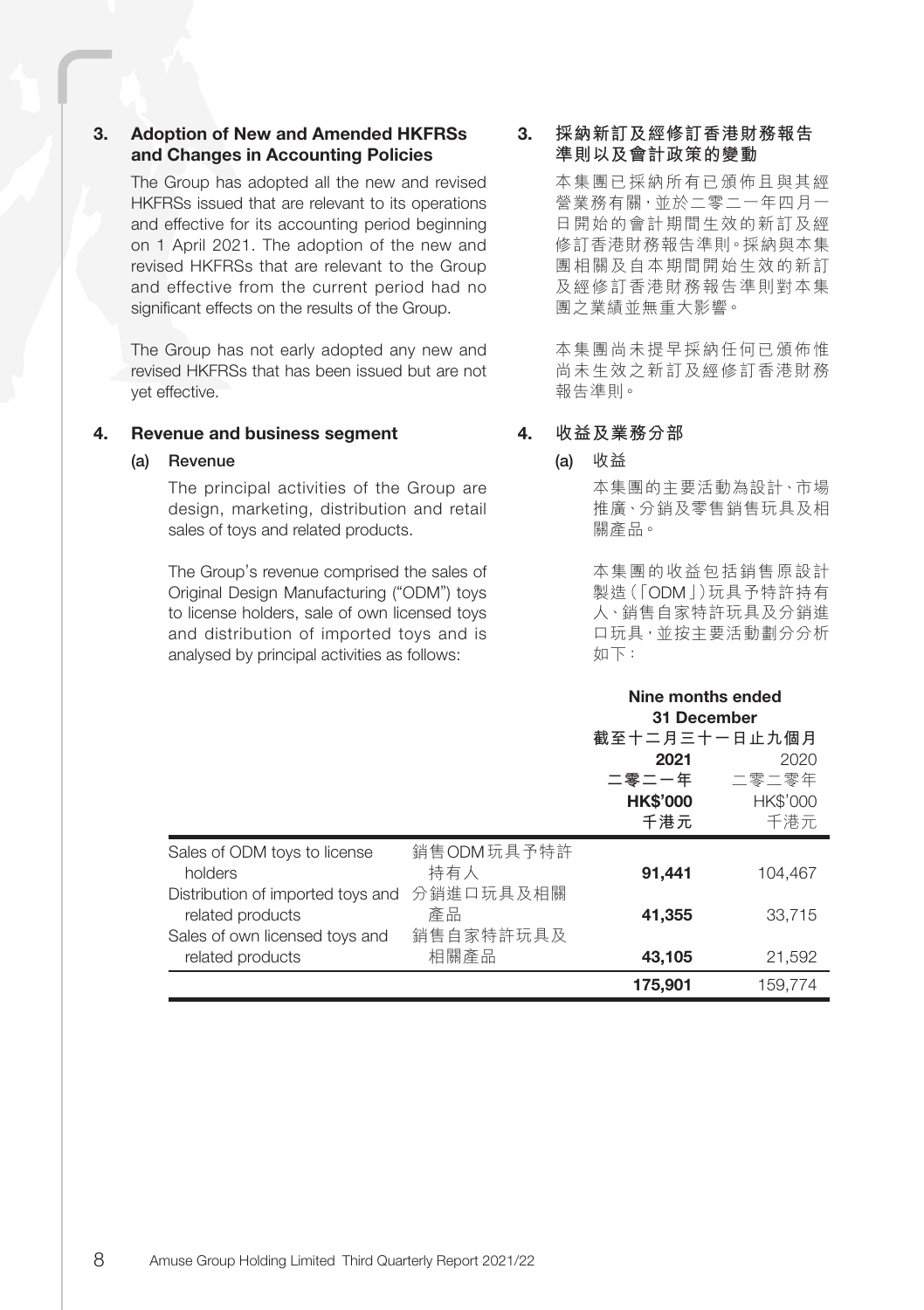# 3. Adoption of New and Amended HKFRSs and Changes in Accounting Policies

The Group has adopted all the new and revised HKFRSs issued that are relevant to its operations and effective for its accounting period beginning on 1 April 2021. The adoption of the new and revised HKFRSs that are relevant to the Group and effective from the current period had no significant effects on the results of the Group.

The Group has not early adopted any new and revised HKFRSs that has been issued but are not yet effective.

#### 4. Revenue and business segment

#### (a) Revenue

The principal activities of the Group are design, marketing, distribution and retail sales of toys and related products.

The Group's revenue comprised the sales of Original Design Manufacturing ("ODM") toys to license holders, sale of own licensed toys and distribution of imported toys and is analysed by principal activities as follows:

3. **採納新訂及經修訂香港財務報告 準則以及會計政策的變動**

> 本集團已採納所有已頒佈且與其經 營業務有關,並於二零二一年四月一 日開始的會計期間生效的新訂及經 修訂香港財務報告進則。採納與本集 團相關及自本期間開始生效的新訂 及經修訂香港財務報告準則對本集 團之業績並無重大影響。

> 本集團尚未提早採納任何已頒佈惟 尚未生效之新訂及經修訂香港財務 報告準則。

#### 4. **收益及業務分部**

(a) 收益

本集團的主要活動為設計、市場 推廣、分銷及零售銷售玩具及相 關產品。

本集團的收益包括銷售原設計 製造(「ODM」)玩具予特許持有 人、銷售自家特許玩具及分銷進 口玩具,並按主要活動劃分分析 如下:

#### Nine months ended 31 December

|                                   |            | 截至十二月三十一日止九個月   |          |
|-----------------------------------|------------|-----------------|----------|
|                                   |            | 2021            | 2020     |
|                                   |            | 二零二一年           | 二零二零年    |
|                                   |            | <b>HK\$'000</b> | HK\$'000 |
|                                   |            | 千港元             | 千港元      |
| Sales of ODM toys to license      | 銷售ODM玩具予特許 |                 |          |
| holders                           | 持有人        | 91,441          | 104.467  |
| Distribution of imported toys and | 分銷進口玩具及相關  |                 |          |
| related products                  | 產品         | 41,355          | 33.715   |
| Sales of own licensed toys and    | 銷售自家特許玩具及  |                 |          |
| related products                  | 相關產品       | 43,105          | 21,592   |
|                                   |            | 175,901         | 159.774  |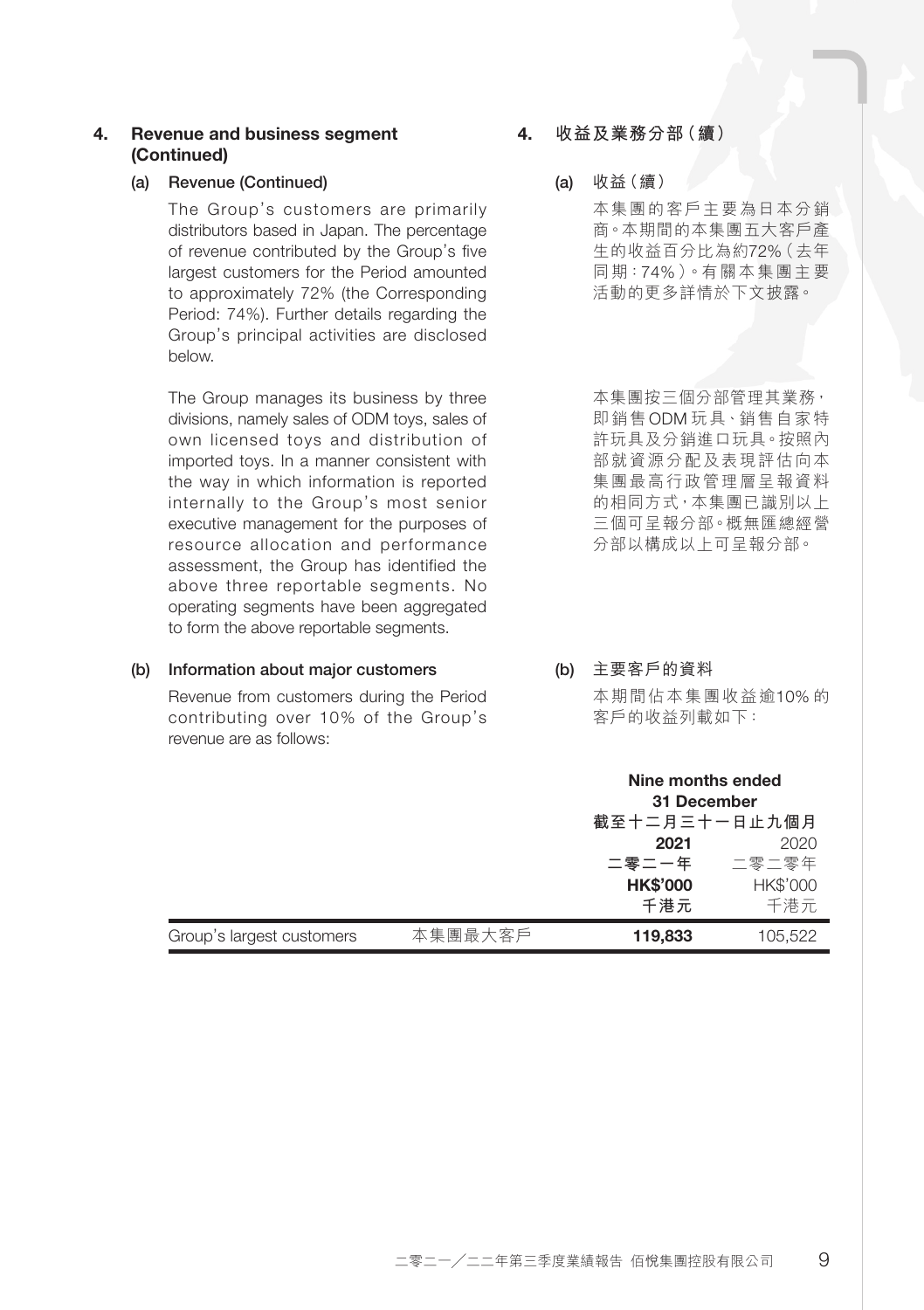# 4. Revenue and business segment (Continued)

#### (a) Revenue (Continued)

The Group's customers are primarily distributors based in Japan. The percentage of revenue contributed by the Group's five largest customers for the Period amounted to approximately 72% (the Corresponding Period: 74%). Further details regarding the Group's principal activities are disclosed below.

The Group manages its business by three divisions, namely sales of ODM toys, sales of own licensed toys and distribution of imported toys. In a manner consistent with the way in which information is reported internally to the Group's most senior executive management for the purposes of resource allocation and performance assessment, the Group has identified the above three reportable segments. No operating segments have been aggregated to form the above reportable segments.

#### (b) Information about major customers

Revenue from customers during the Period contributing over 10% of the Group's revenue are as follows:

# 4. **收益及業務分部(續)**

- (a) 收益(續)
	- 本集團的客戶主要為日本分銷 商。本期間的本集團五大客戶產 生的收益百分比為約72%(去年 同期:74%)。有關本集團主要 活動的更多詳情於下文披露。

本集團按三個分部管理其業務, 即銷售 ODM 玩具、銷售自家特 許玩具及分銷進口玩具。按照內 部就資源分配及表現評估向本 集團最高行政管理層呈報資料 的相同方式,本集團已識別以上 三個可呈報分部。概無匯總經營 分部以構成以上可呈報分部。

(b) 主要客戶的資料

本期間佔本集團收益逾10% 的 客戶的收益列載如下:

|                           |         | Nine months ended<br>31 December |          |
|---------------------------|---------|----------------------------------|----------|
|                           |         | 截至十二月三十一日止九個月                    |          |
|                           |         | 2021                             | 2020     |
|                           |         | 二零二一年                            | 二零二零年    |
|                           |         | <b>HK\$'000</b>                  | HK\$'000 |
|                           |         | 千港元                              | 千港元      |
| Group's largest customers | 本集團最大客戶 | 119,833                          | 105.522  |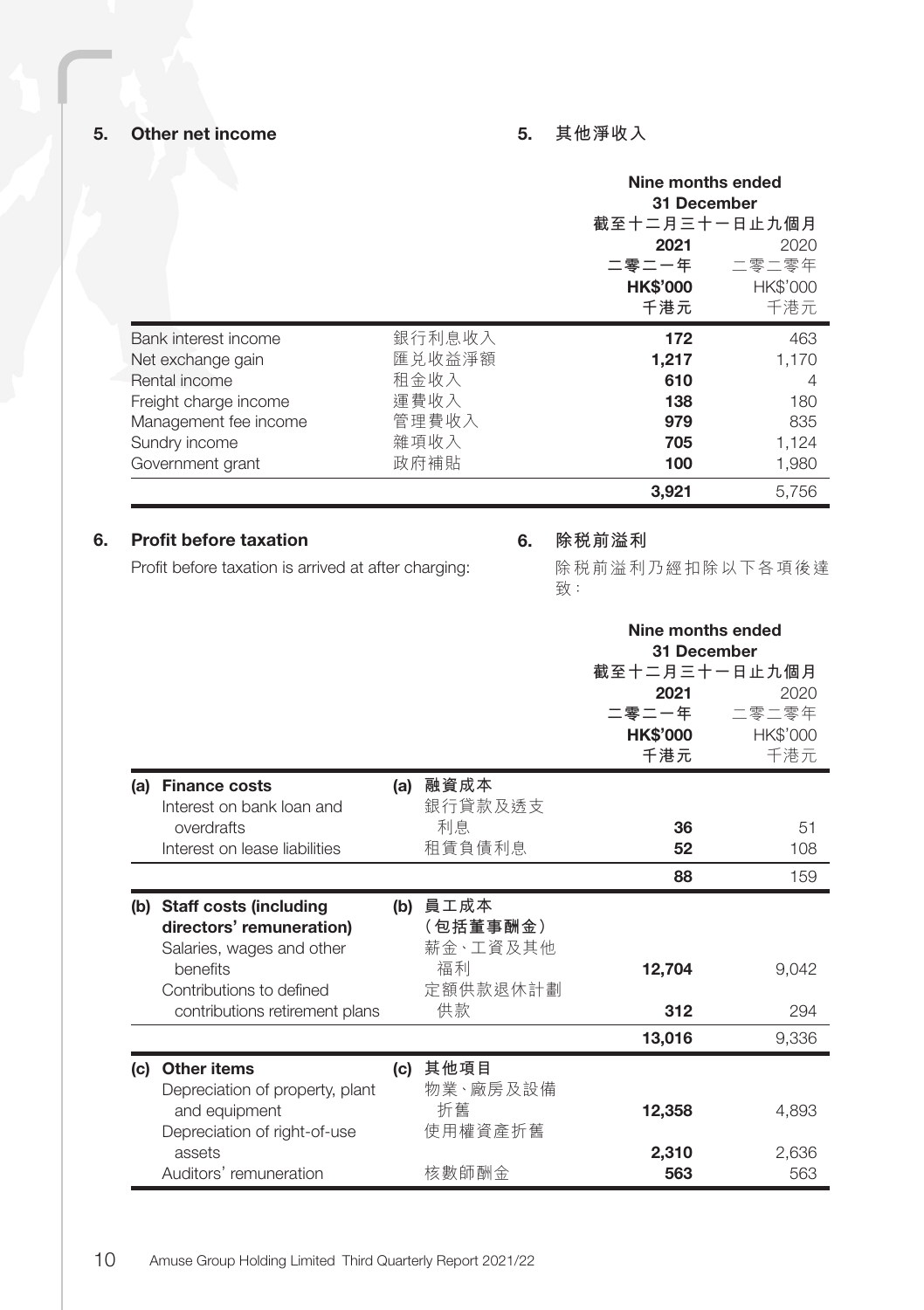# 5. Other net income

5. **其他淨收入**

|                       |        | Nine months ended<br>31 December |          |
|-----------------------|--------|----------------------------------|----------|
|                       |        | 截至十二月三十一日止九個月                    |          |
|                       |        | 2021                             | 2020     |
|                       |        | 二零二一年                            | 二零二零年    |
|                       |        | <b>HK\$'000</b>                  | HK\$'000 |
|                       |        | 千港元                              | 千港元      |
| Bank interest income  | 銀行利息收入 | 172                              | 463      |
| Net exchange gain     | 匯兑收益淨額 | 1,217                            | 1.170    |
| Rental income         |        |                                  |          |
|                       | 租金收入   | 610                              | 4        |
| Freight charge income | 運費收入   | 138                              | 180      |
| Management fee income | 管理費收入  | 979                              | 835      |
| Sundry income         | 雜項收入   | 705                              | 1,124    |
| Government grant      | 政府補貼   | 100                              | 1,980    |

# 6. Profit before taxation

Profit before taxation is arrived at after charging:

# 6. **除稅前溢利**

除稅前溢利乃經扣除以下各項後達 致:

|     |                                                                                     |     |                                  | Nine months ended<br>31 December<br>截至十二月三十一日止九個月<br>2021<br>二零二一年<br><b>HK\$'000</b><br>千港元 | 2020<br>二零二零年<br>HK\$'000<br>千港元 |
|-----|-------------------------------------------------------------------------------------|-----|----------------------------------|----------------------------------------------------------------------------------------------|----------------------------------|
| (a) | <b>Finance costs</b>                                                                |     | (a) 融資成本                         |                                                                                              |                                  |
|     | Interest on bank loan and                                                           |     | 銀行貸款及透支                          |                                                                                              |                                  |
|     | overdrafts                                                                          |     | 利息                               | 36                                                                                           | 51                               |
|     | Interest on lease liabilities                                                       |     | 租賃負債利息                           | 52                                                                                           | 108                              |
|     |                                                                                     |     |                                  | 88                                                                                           | 159                              |
|     | (b) Staff costs (including<br>directors' remuneration)<br>Salaries, wages and other |     | (b) 員工成本<br>(包括董事酬金)<br>薪金、工資及其他 |                                                                                              |                                  |
|     | henefits<br>Contributions to defined                                                |     | 福利<br>定額供款退休計劃                   | 12,704                                                                                       | 9.042                            |
|     | contributions retirement plans                                                      |     | 供款                               | 312                                                                                          | 294                              |
|     |                                                                                     |     |                                  | 13,016                                                                                       | 9.336                            |
| (c) | Other items<br>Depreciation of property, plant                                      | (c) | 其他項目<br>物業、廠房及設備                 |                                                                                              |                                  |
|     | and equipment                                                                       |     | 折舊                               | 12,358                                                                                       | 4.893                            |
|     | Depreciation of right-of-use                                                        |     | 使用權資產折舊                          |                                                                                              |                                  |
|     | assets<br>Auditors' remuneration                                                    |     | 核數師酬金                            | 2,310<br>563                                                                                 | 2,636<br>563                     |
|     |                                                                                     |     |                                  |                                                                                              |                                  |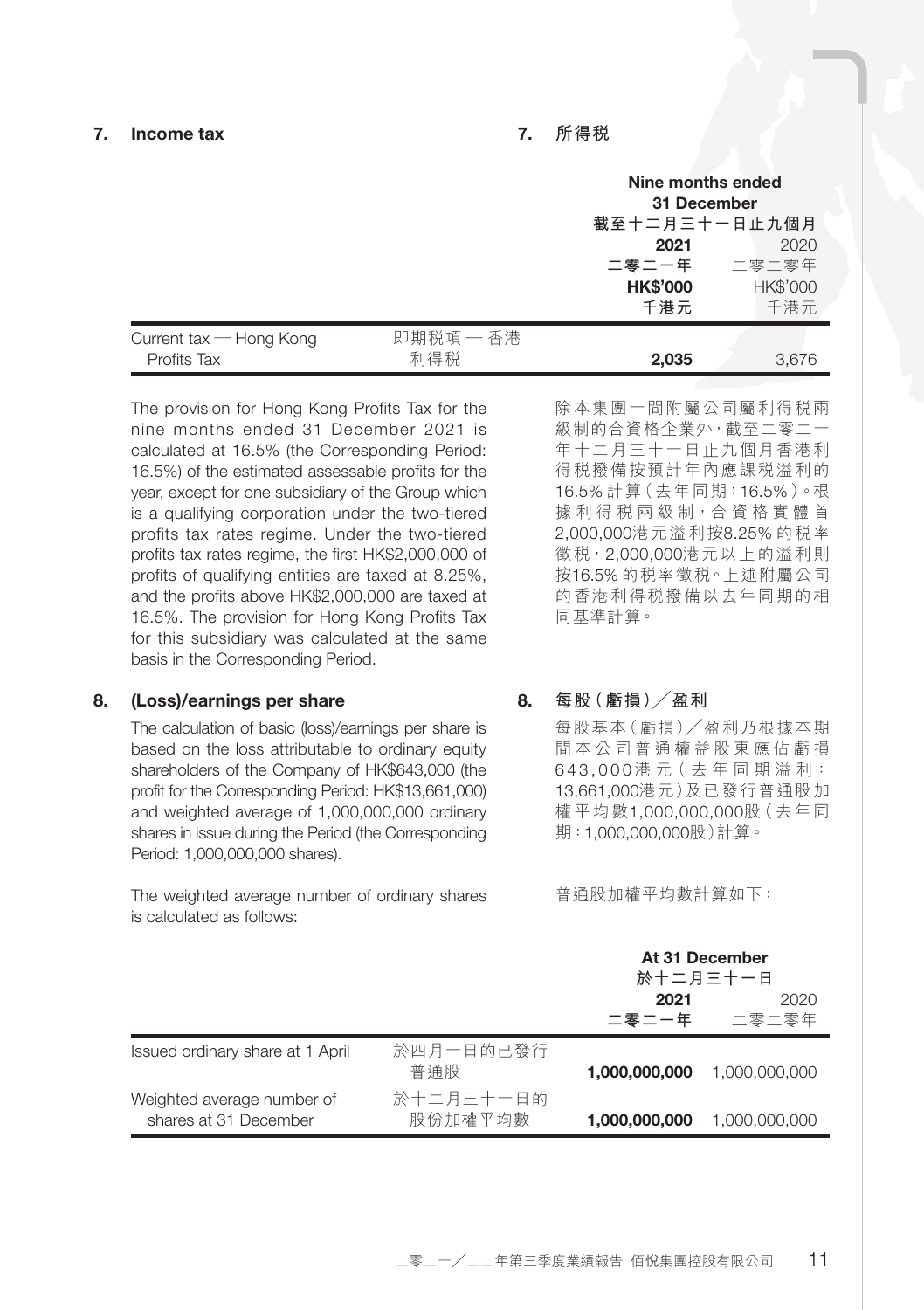# 7. Income tax

#### 7. **所得稅**

|                         |           | Nine months ended<br>31 December |                 |
|-------------------------|-----------|----------------------------------|-----------------|
|                         |           |                                  |                 |
|                         |           | 截至十二月三十一日止九個月                    |                 |
|                         |           | 2021                             | 2020            |
|                         |           | 二零二一年                            | 二零二零年           |
|                         |           | <b>HK\$'000</b>                  | <b>HK\$'000</b> |
|                         |           | 千港元                              | 千港元             |
| Current tax - Hong Kong | 即期税項 — 香港 |                                  |                 |
| Profits Tax             | 利得税       | 2.035                            | 3.676           |

The provision for Hong Kong Profits Tax for the nine months ended 31 December 2021 is calculated at 16.5% (the Corresponding Period: 16.5%) of the estimated assessable profits for the year, except for one subsidiary of the Group which is a qualifying corporation under the two-tiered profits tax rates regime. Under the two-tiered profits tax rates regime, the first HK\$2,000,000 of profits of qualifying entities are taxed at 8.25%, and the profits above HK\$2,000,000 are taxed at 16.5%. The provision for Hong Kong Profits Tax for this subsidiary was calculated at the same basis in the Corresponding Period.

#### 8. (Loss)/earnings per share

The calculation of basic (loss)/earnings per share is based on the loss attributable to ordinary equity shareholders of the Company of HK\$643,000 (the profit for the Corresponding Period: HK\$13,661,000) and weighted average of 1,000,000,000 ordinary shares in issue during the Period (the Corresponding Period: 1,000,000,000 shares).

The weighted average number of ordinary shares is calculated as follows:

除本集團一間附屬公司屬利得稅兩 級制的合資格企業外,截至二零二一 年十二月三十一日止九個月香港利 得稅撥備按預計年內應課稅溢利的 16.5% 計算(去年同期:16.5%)。根 據 利 得 税 兩 級 制, 合 資 格 實 體 首 2,000,000港元溢利按8.25% 的稅率 徵稅,2,000,000港元以上的溢利則 按16.5% 的稅率徵稅。上述附屬公司 的香港利得稅撥備以去年同期的相 同基準計算。

8. **每股(虧損)╱盈利**

每股基本(虧損)╱盈利乃根據本期 間本公司普通權益股東應佔虧損 643,000 港 元( 去 年 同 期 溢 利: 13,661,000港元)及已發行普通股加 權平均數1,000,000,000股(去年同 期:1,000,000,000股)計算。

普通股加權平均數計算如下:

|                                                     |                      | At 31 December<br>於十二月三十一日 |                     |
|-----------------------------------------------------|----------------------|----------------------------|---------------------|
|                                                     |                      | 2021                       | 2020<br>二零二一年 二零二零年 |
| Issued ordinary share at 1 April                    | 於四月一日的已發行<br>普诵股     | 1,000,000,000              | 1,000,000,000       |
| Weighted average number of<br>shares at 31 December | 於十二月三十一日的<br>股份加權平均數 | 1,000,000,000              | 1.000.000.000       |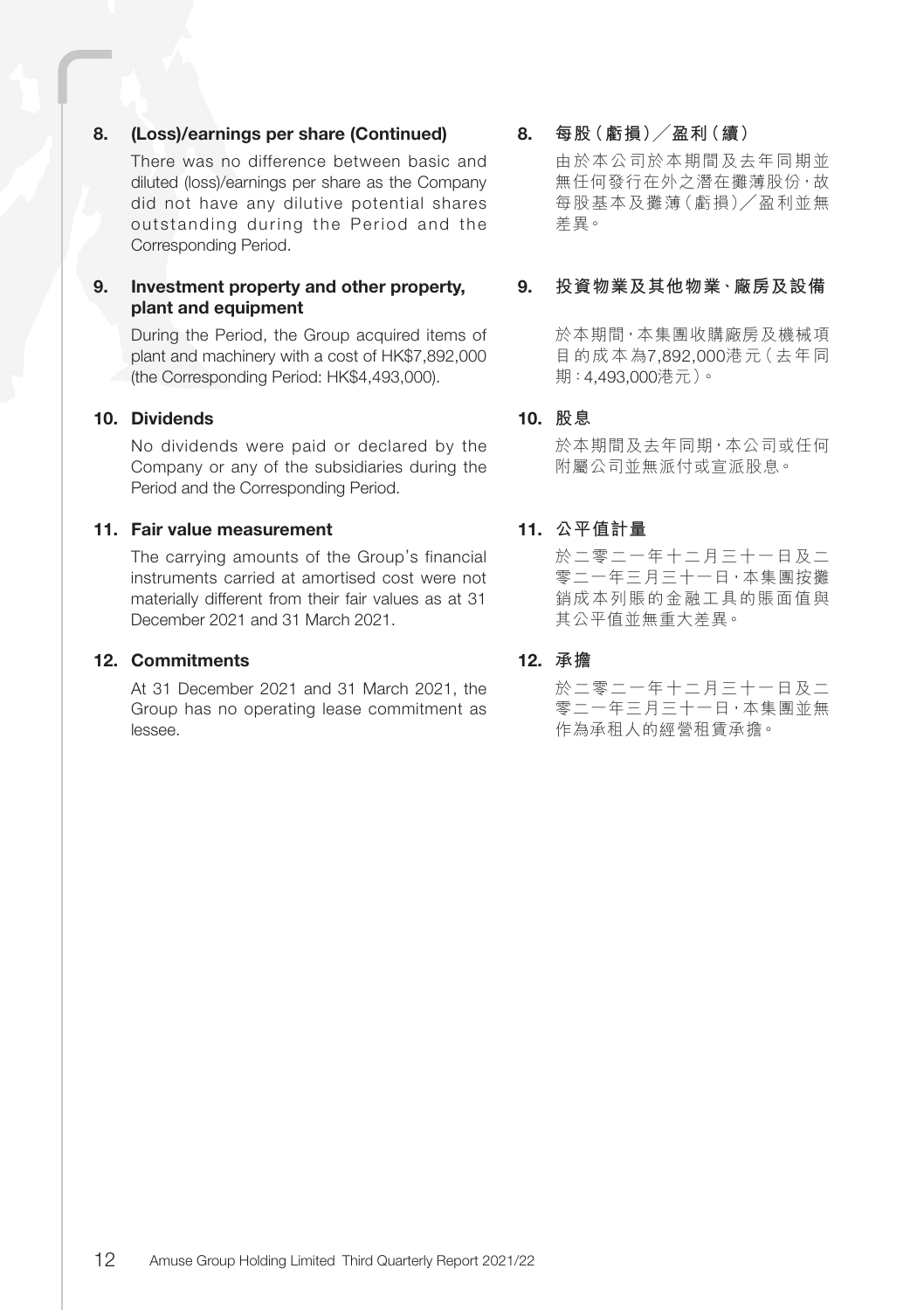# 8. (Loss)/earnings per share (Continued)

There was no difference between basic and diluted (loss)/earnings per share as the Company did not have any dilutive potential shares outstanding during the Period and the Corresponding Period.

#### 9. Investment property and other property, plant and equipment

During the Period, the Group acquired items of plant and machinery with a cost of HK\$7,892,000 (the Corresponding Period: HK\$4,493,000).

# 10. Dividends

No dividends were paid or declared by the Company or any of the subsidiaries during the Period and the Corresponding Period.

# 11. Fair value measurement

The carrying amounts of the Group's financial instruments carried at amortised cost were not materially different from their fair values as at 31 December 2021 and 31 March 2021.

# 12. Commitments

At 31 December 2021 and 31 March 2021, the Group has no operating lease commitment as lessee.

#### 8. **每股(虧損)╱盈利(續)**

由於本公司於本期間及去年同期並 無任何發行在外之潛在攤薄股份,故 每股基本及攤薄(虧損)╱盈利並無 差異。

# 9. **投資物業及其他物業、廠房及設備**

於本期間,本集團收購廠房及機械項 目的成本為7,892,000港元(去年同 期:4,493,000港元)。

## 10. **股息**

於本期間及去年同期,本公司或任何 附屬公司並無派付或宣派股息。

#### 11. **公平值計量**

於二零二一年十二月三十一日及二 零二一年三月三十一日,本集團按攤 銷成本列賬的金融工具的賬面值與 其公平值並無重大差異。

# 12. **承擔**

於二零二一年十二月三十一日及二 零二一年三月三十一日,本集團並無 作為承租人的經營租賃承擔。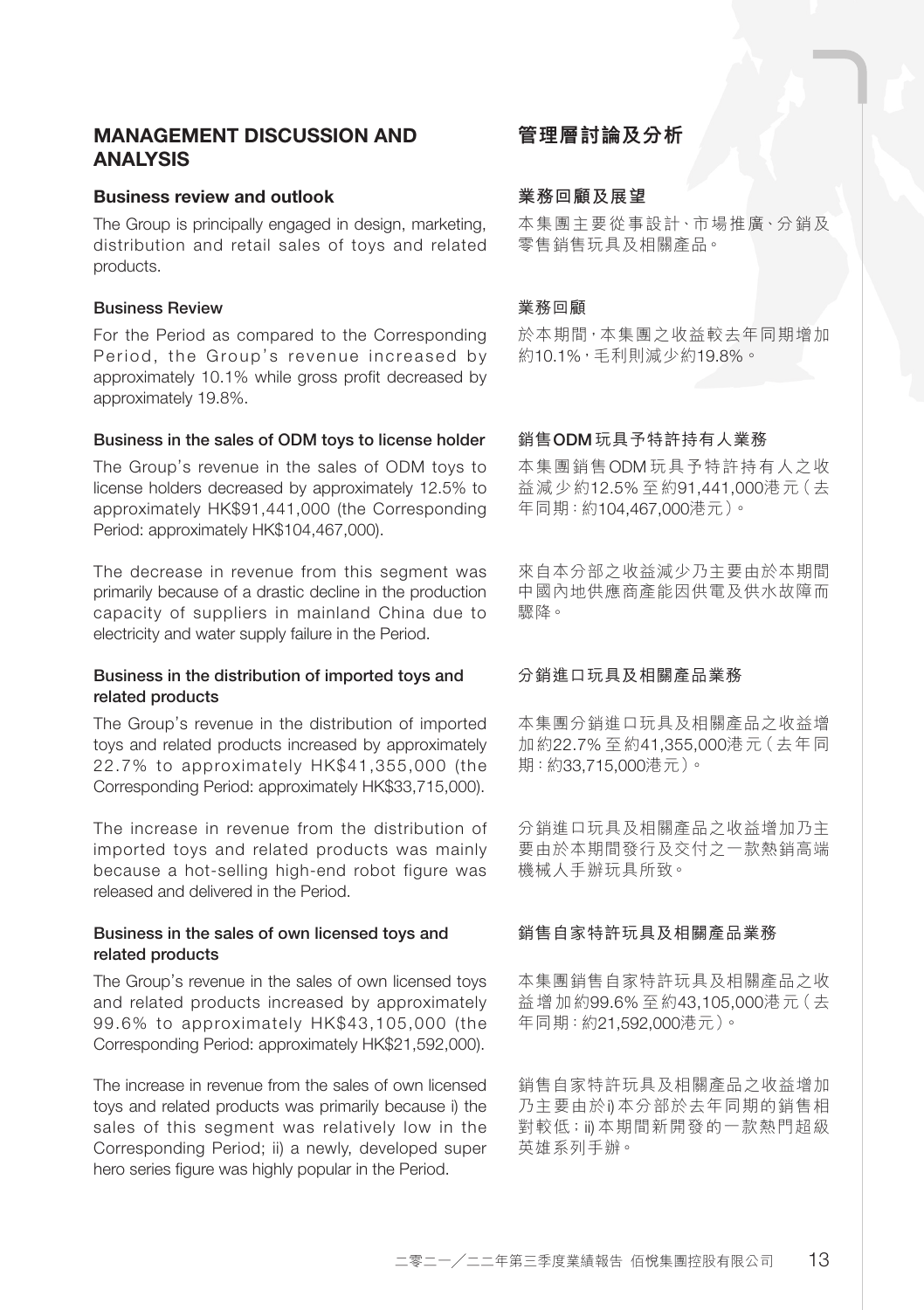# MANAGEMENT DISCUSSION AND ANALYSIS

#### Business review and outlook

The Group is principally engaged in design, marketing, distribution and retail sales of toys and related products.

#### Business Review

For the Period as compared to the Corresponding Period, the Group's revenue increased by approximately 10.1% while gross profit decreased by approximately 19.8%.

#### Business in the sales of ODM toys to license holder

The Group's revenue in the sales of ODM toys to license holders decreased by approximately 12.5% to approximately HK\$91,441,000 (the Corresponding Period: approximately HK\$104,467,000).

The decrease in revenue from this segment was primarily because of a drastic decline in the production capacity of suppliers in mainland China due to electricity and water supply failure in the Period.

#### Business in the distribution of imported toys and related products

The Group's revenue in the distribution of imported toys and related products increased by approximately 22.7% to approximately HK\$41,355,000 (the Corresponding Period: approximately HK\$33,715,000).

The increase in revenue from the distribution of imported toys and related products was mainly because a hot-selling high-end robot figure was released and delivered in the Period.

# Business in the sales of own licensed toys and related products

The Group's revenue in the sales of own licensed toys and related products increased by approximately 99.6% to approximately HK\$43,105,000 (the Corresponding Period: approximately HK\$21,592,000).

The increase in revenue from the sales of own licensed toys and related products was primarily because i) the sales of this segment was relatively low in the Corresponding Period; ii) a newly, developed super hero series figure was highly popular in the Period.

# 管理層討論及分析

#### **業務回顧及展望**

本集團主要從事設計、市場推廣、分銷及 零售銷售玩具及相關產品。

#### 業務回顧

於本期間,本集團之收益較去年同期增加 約10.1%,毛利則減少約19.8%。

#### 銷售ODM玩具予特許持有人業務

本集團銷售ODM 玩具予特許持有人之收 益減少約12.5% 至約91,441,000港元(去 年同期:約104,467,000港元)。

來自本分部之收益減少乃主要由於本期間 中國內地供應商產能因供電及供水故障而 驟降。

## 分銷進口玩具及相關產品業務

本集團分銷進口玩具及相關產品之收益增 加約22.7% 至約41,355,000港元(去年同 期:約33,715,000港元)。

分銷進口玩具及相關產品之收益增加乃主 要由於本期間發行及交付之一款熱銷高端 機械人手辦玩具所致。

#### 銷售自家特許玩具及相關產品業務

本集團銷售自家特許玩具及相關產品之收 益增加約99.6% 至約43,105,000港元(去 年同期:約21,592,000港元)。

銷售自家特許玩具及相關產品之收益增加 乃主要由於i) 本分部於去年同期的銷售相 對較低;ii) 本期間新開發的一款熱門超級 英雄系列手辦。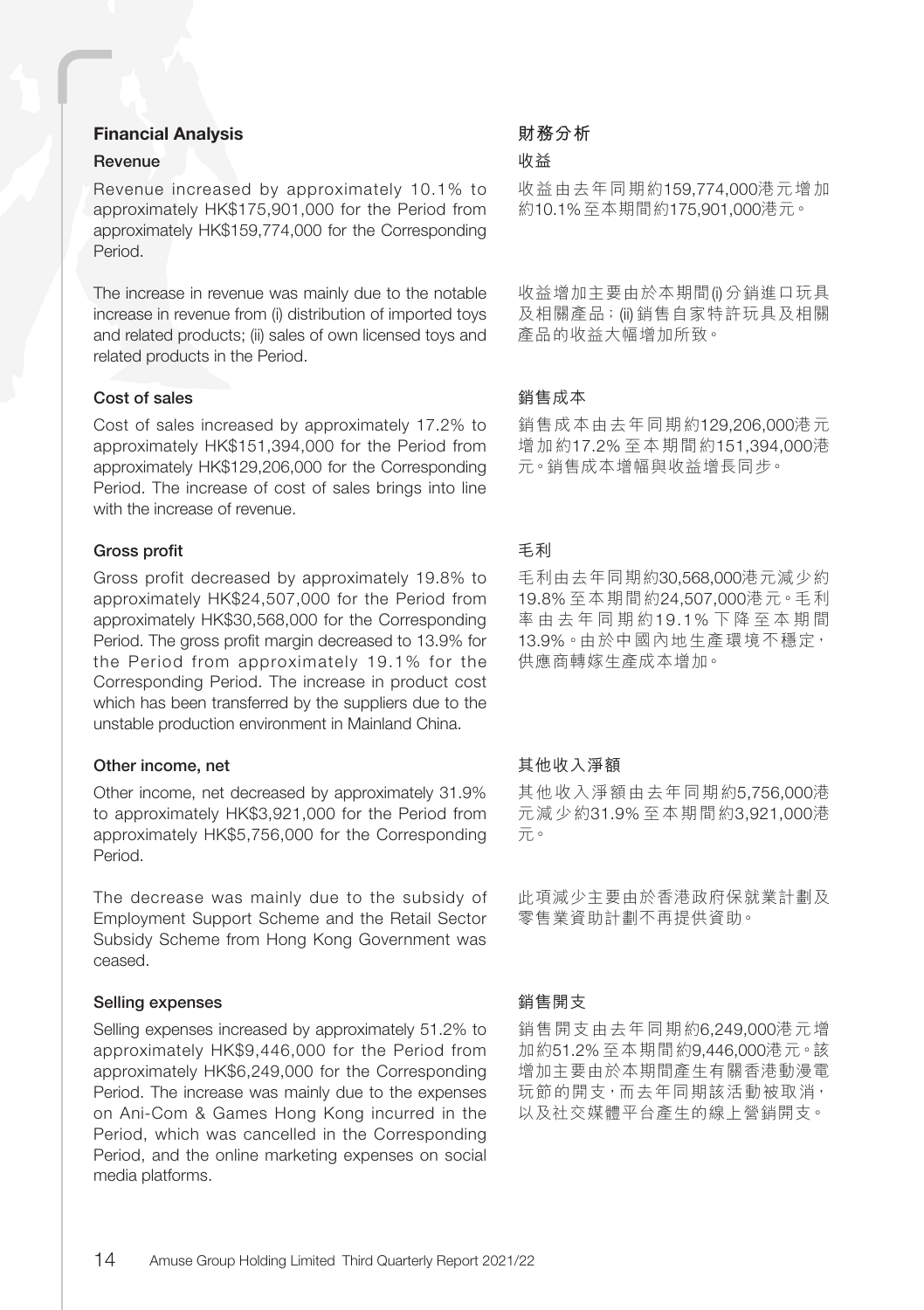# Financial Analysis

#### Revenue

Revenue increased by approximately 10.1% to approximately HK\$175,901,000 for the Period from approximately HK\$159,774,000 for the Corresponding Period.

The increase in revenue was mainly due to the notable increase in revenue from (i) distribution of imported toys and related products; (ii) sales of own licensed toys and related products in the Period.

### Cost of sales

Cost of sales increased by approximately 17.2% to approximately HK\$151,394,000 for the Period from approximately HK\$129,206,000 for the Corresponding Period. The increase of cost of sales brings into line with the increase of revenue.

## Gross profit

Gross profit decreased by approximately 19.8% to approximately HK\$24,507,000 for the Period from approximately HK\$30,568,000 for the Corresponding Period. The gross profit margin decreased to 13.9% for the Period from approximately 19.1% for the Corresponding Period. The increase in product cost which has been transferred by the suppliers due to the unstable production environment in Mainland China.

#### Other income, net

Other income, net decreased by approximately 31.9% to approximately HK\$3,921,000 for the Period from approximately HK\$5,756,000 for the Corresponding Period.

The decrease was mainly due to the subsidy of Employment Support Scheme and the Retail Sector Subsidy Scheme from Hong Kong Government was ceased.

#### Selling expenses

Selling expenses increased by approximately 51.2% to approximately HK\$9,446,000 for the Period from approximately HK\$6,249,000 for the Corresponding Period. The increase was mainly due to the expenses on Ani-Com & Games Hong Kong incurred in the Period, which was cancelled in the Corresponding Period, and the online marketing expenses on social media platforms.

# **財務分析**

# 收益

收益由去年同期約159,774,000港元增加 約10.1%至本期間約175,901,000港元。

收益增加主要由於本期間(i)分銷進口玩具 及相關產品;(ii) 銷售自家特許玩具及相關 產品的收益大幅增加所致。

### 銷售成本

銷售成本由去年同期約129,206,000港元 增加約17.2% 至本期間約151,394,000港 元。銷售成本增幅與收益增長同步。

# 毛利

毛利由去年同期約30,568,000港元減少約 19.8% 至本期間約24,507,000港元。毛利 率由去年同期約19.1% 下降至本期間 13.9%。由於中國內地生產環境不穩定, 供應商轉嫁生產成本增加。

# 其他收入淨額

其他收入淨額由去年同期約5,756,000港 元減少約31.9% 至本期間約3,921,000港 元。

此項減少主要由於香港政府保就業計劃及 零售業資助計劃不再提供資助。

#### 銷售開支

銷售開支由去年同期約6,249,000港元增 加約51.2% 至本期間約9,446,000港元。該 增加主要由於本期間產生有關香港動漫電 玩節的開支,而去年同期該活動被取消, 以及社交媒體平台產生的線上營銷開支。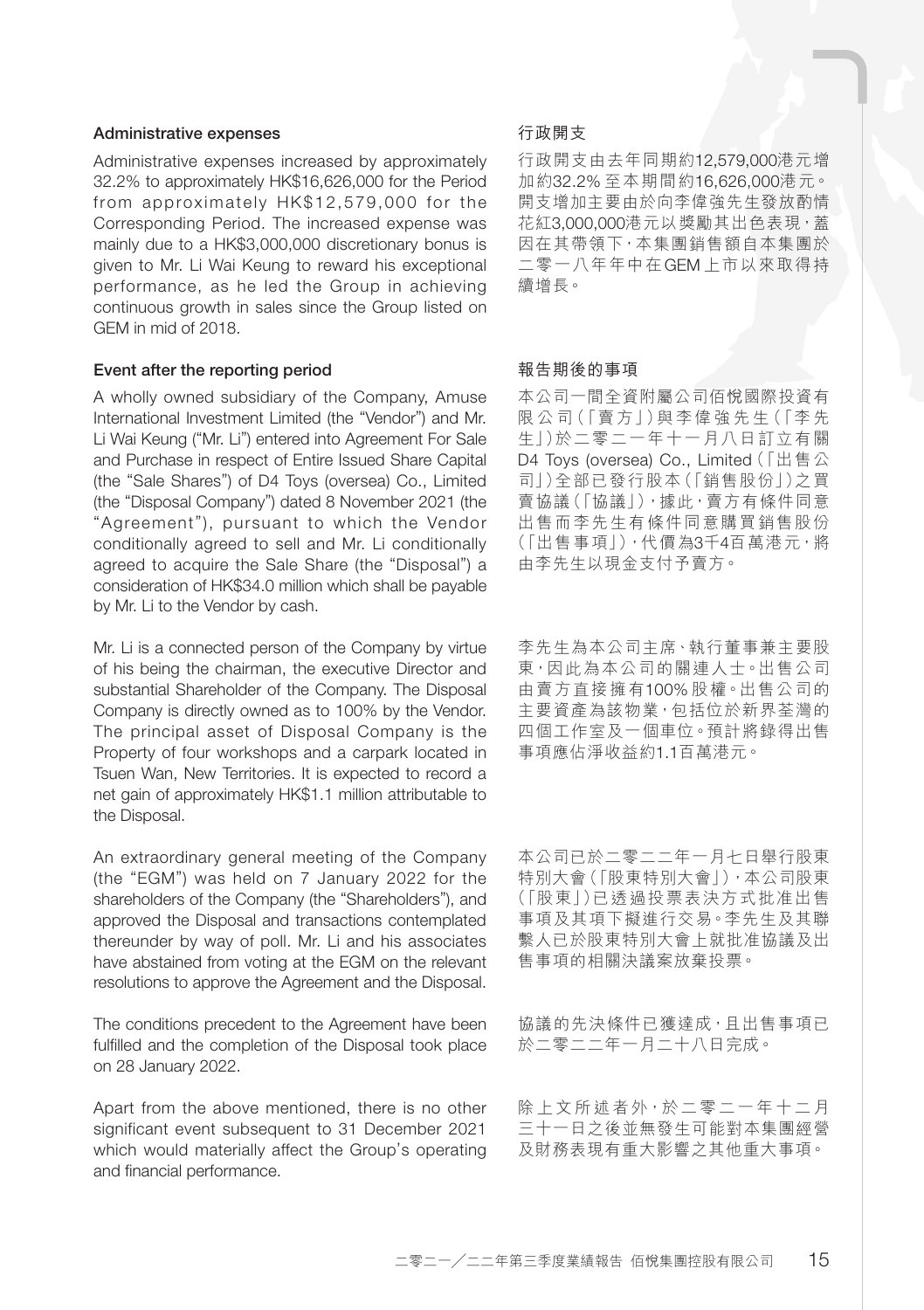#### Administrative expenses

Administrative expenses increased by approximately 32.2% to approximately HK\$16,626,000 for the Period from approximately HK\$12,579,000 for the Corresponding Period. The increased expense was mainly due to a HK\$3,000,000 discretionary bonus is given to Mr. Li Wai Keung to reward his exceptional performance, as he led the Group in achieving continuous growth in sales since the Group listed on GEM in mid of 2018.

#### Event after the reporting period

A wholly owned subsidiary of the Company, Amuse International Investment Limited (the "Vendor") and Mr. Li Wai Keung ("Mr. Li") entered into Agreement For Sale and Purchase in respect of Entire Issued Share Capital (the "Sale Shares") of D4 Toys (oversea) Co., Limited (the "Disposal Company") dated 8 November 2021 (the "Agreement"), pursuant to which the Vendor conditionally agreed to sell and Mr. Li conditionally agreed to acquire the Sale Share (the "Disposal") a consideration of HK\$34.0 million which shall be payable by Mr. Li to the Vendor by cash.

Mr. Li is a connected person of the Company by virtue of his being the chairman, the executive Director and substantial Shareholder of the Company. The Disposal Company is directly owned as to 100% by the Vendor. The principal asset of Disposal Company is the Property of four workshops and a carpark located in Tsuen Wan, New Territories. It is expected to record a net gain of approximately HK\$1.1 million attributable to the Disposal.

An extraordinary general meeting of the Company (the "EGM") was held on 7 January 2022 for the shareholders of the Company (the "Shareholders"), and approved the Disposal and transactions contemplated thereunder by way of poll. Mr. Li and his associates have abstained from voting at the EGM on the relevant resolutions to approve the Agreement and the Disposal.

The conditions precedent to the Agreement have been fulfilled and the completion of the Disposal took place on 28 January 2022.

Apart from the above mentioned, there is no other significant event subsequent to 31 December 2021 which would materially affect the Group's operating and financial performance.

#### 行政開支

行政開支由去年同期約12,579,000港元增 加約32.2% 至本期間約16,626,000港元。 開支增加主要由於向李偉強先生發放酌情 花紅3,000,000港元以獎勵其出色表現,蓋 因在其帶領下,本集團銷售額自本集團於 二零一八年年中在GEM 上市以來取得持 續增長。

#### 報告期後的事項

本公司一間全資附屬公司佰悅國際投資有 限公司(「賣方」)與李偉強先生(「李先 生」)於二零二一年十一月八日訂立有關 D4 Toys (oversea) Co., Limited (「出售公 司」)全部已發行股本(「銷售股份」)之買 賣協議(「協議」),據此,賣方有條件同意 出售而李先生有條件同意購買銷售股份 (「出售事項」),代價為3千4百萬港元,將 由李先生以現金支付予賣方。

李先生為本公司主席、執行董事兼主要股 東,因此為本公司的關連人士。出售公司 由賣方直接擁有100% 股權。出售公司的 主要資產為該物業,包括位於新界荃灣的 四個工作室及一個車位。預計將錄得出售 事項應佔淨收益約1.1百萬港元。

本公司已於二零二二年一月七日舉行股東 特別大會(「股東特別大會」),本公司股東 (「股東」)已透過投票表決方式批准出售 事項及其項下擬進行交易。李先生及其聯 繫人已於股東特別大會上就批准協議及出 售事項的相關決議案放棄投票。

協議的先決條件已獲達成,且出售事項已 於二零二二年一月二十八日完成。

除上文所述者外,於二零二一年十二月 三十一日之後並無發生可能對本集團經營 及財務表現有重大影響之其他重大事項。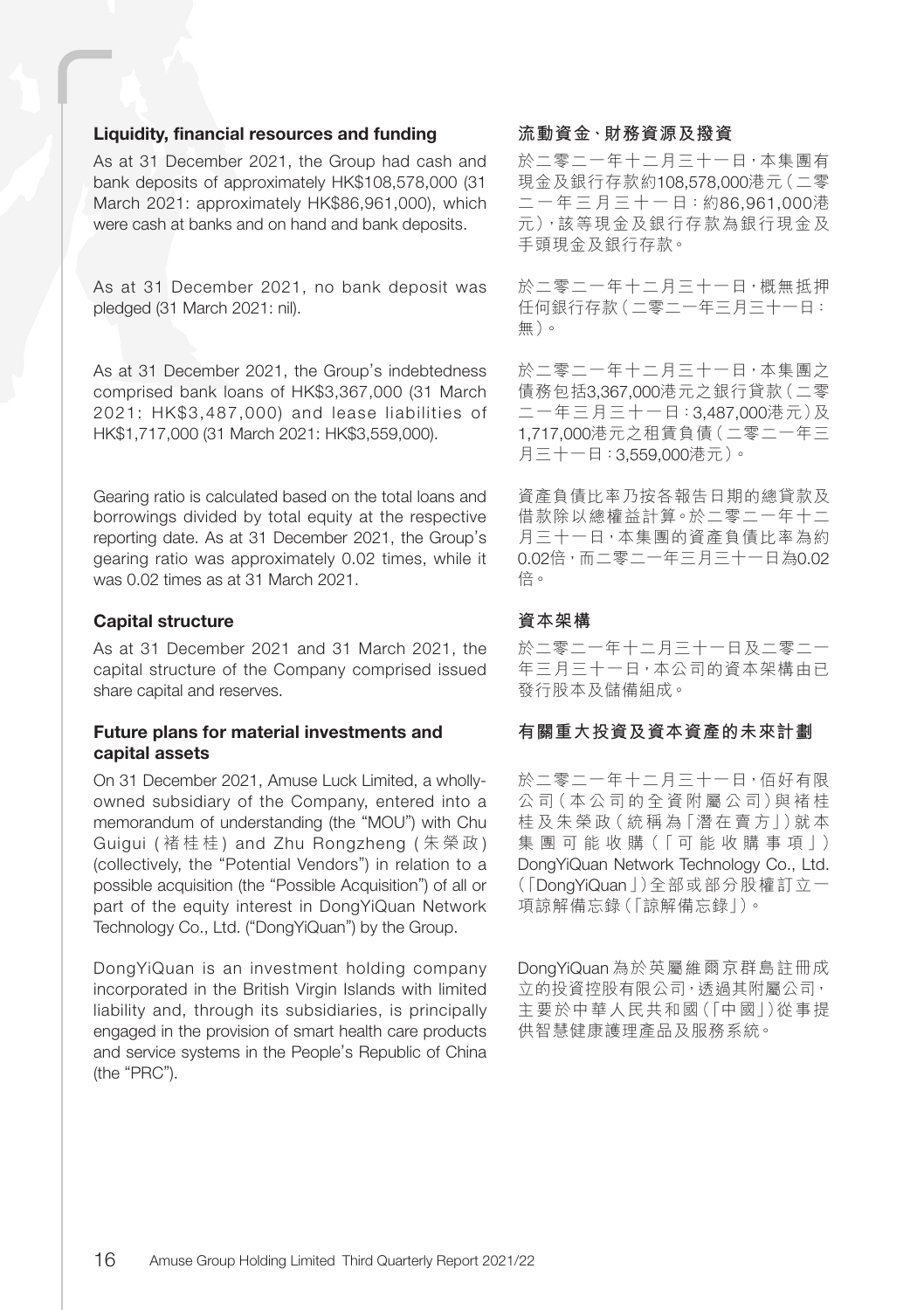# Liquidity, financial resources and funding

As at 31 December 2021, the Group had cash and bank deposits of approximately HK\$108,578,000 (31 March 2021: approximately HK\$86,961,000), which were cash at banks and on hand and bank deposits.

As at 31 December 2021, no bank deposit was pledged (31 March 2021: nil).

As at 31 December 2021, the Group's indebtedness comprised bank loans of HK\$3,367,000 (31 March 2021: HK\$3,487,000) and lease liabilities of HK\$1,717,000 (31 March 2021: HK\$3,559,000).

Gearing ratio is calculated based on the total loans and borrowings divided by total equity at the respective reporting date. As at 31 December 2021, the Group's gearing ratio was approximately 0.02 times, while it was 0.02 times as at 31 March 2021.

# Capital structure

As at 31 December 2021 and 31 March 2021, the capital structure of the Company comprised issued share capital and reserves.

## Future plans for material investments and capital assets

On 31 December 2021, Amuse Luck Limited, a whollyowned subsidiary of the Company, entered into a memorandum of understanding (the "MOU") with Chu Guigui ( 褚桂桂 ) and Zhu Rongzheng ( 朱榮政 ) (collectively, the "Potential Vendors") in relation to a possible acquisition (the "Possible Acquisition") of all or part of the equity interest in DongYiQuan Network Technology Co., Ltd. ("DongYiQuan") by the Group.

DongYiQuan is an investment holding company incorporated in the British Virgin Islands with limited liability and, through its subsidiaries, is principally engaged in the provision of smart health care products and service systems in the People's Republic of China (the "PRC").

# **流動資金、財務資源及撥資**

於二零二一年十二月三十一日,本集團有 現金及銀行存款約108,578,000港元(二零 二一年三月三十一日:約86,961,000港 元),該等現金及銀行存款為銀行現金及 手頭現金及銀行存款。

於二零二一年十二月三十一日,概無抵押 任何銀行存款(二零二一年三月三十一日: 無)。

於二零二一年十二月三十一日,本集團之 債務包括3,367,000港元之銀行貸款(二零 二一年三月三十一日:3,487,000港元)及 1,717,000港元之租賃負債(二零二一年三 月三十一日:3,559,000港元)。

資產負債比率乃按各報告日期的總貸款及 借款除以總權益計算。於二零二一年十二 月三十一日,本集團的資產負債比率為約 0.02倍,而二零二一年三月三十一日為0.02 倍。

#### **資本架構**

於二零二一年十二月三十一日及二零二一 年三月三十一日,本公司的資本架構由已 發行股本及儲備組成。

#### **有關重大投資及資本資產的未來計劃**

於二零二一年十二月三十一日,佰好有限 公 司( 本 公 司 的 全 資 附 屬 公 司)與 褚 桂 桂及朱榮政(統稱為「潛在賣方」)就本 集 團 可 能 收 購 (「可 能 收 購 事 項」) DongYiQuan Network Technology Co., Ltd. (「DongYiQuan」)全部或部分股權訂立一 項諒解備忘錄(「諒解備忘錄」)。

DongYiQuan 為於英屬維爾京群島註冊成 立的投資控股有限公司,透過其附屬公司, 主要於中華人民共和國(「中國」)從事提 供智慧健康護理產品及服務系統。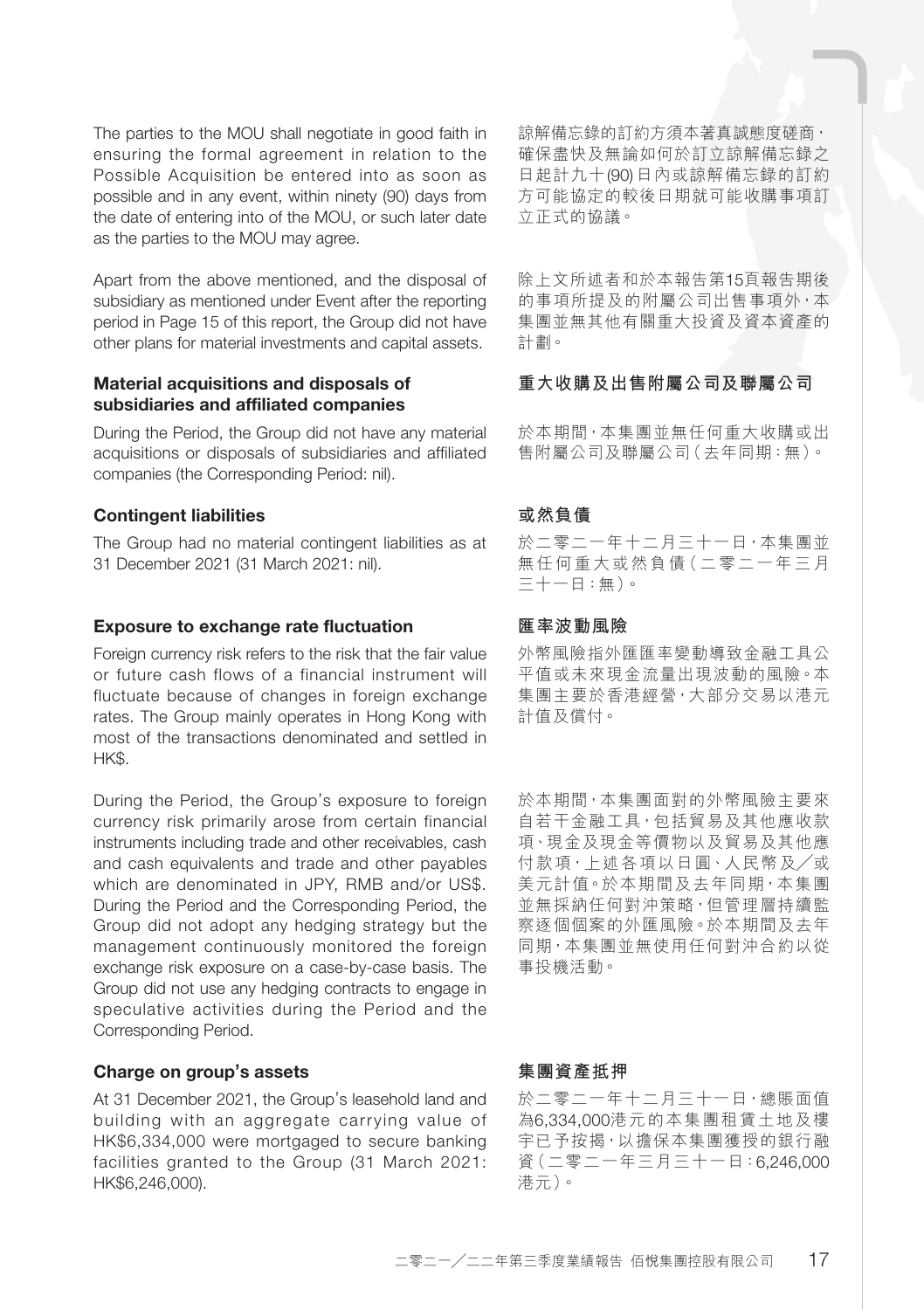The parties to the MOU shall negotiate in good faith in ensuring the formal agreement in relation to the Possible Acquisition be entered into as soon as possible and in any event, within ninety (90) days from the date of entering into of the MOU, or such later date as the parties to the MOU may agree.

Apart from the above mentioned, and the disposal of subsidiary as mentioned under Event after the reporting period in Page 15 of this report, the Group did not have other plans for material investments and capital assets.

#### Material acquisitions and disposals of subsidiaries and affiliated companies

During the Period, the Group did not have any material acquisitions or disposals of subsidiaries and affiliated companies (the Corresponding Period: nil).

# Contingent liabilities

The Group had no material contingent liabilities as at 31 December 2021 (31 March 2021: nil).

# Exposure to exchange rate fluctuation

Foreign currency risk refers to the risk that the fair value or future cash flows of a financial instrument will fluctuate because of changes in foreign exchange rates. The Group mainly operates in Hong Kong with most of the transactions denominated and settled in HK\$.

During the Period, the Group's exposure to foreign currency risk primarily arose from certain financial instruments including trade and other receivables, cash and cash equivalents and trade and other payables which are denominated in JPY, RMB and/or US\$. During the Period and the Corresponding Period, the Group did not adopt any hedging strategy but the management continuously monitored the foreign exchange risk exposure on a case-by-case basis. The Group did not use any hedging contracts to engage in speculative activities during the Period and the Corresponding Period.

# Charge on group's assets

At 31 December 2021, the Group's leasehold land and building with an aggregate carrying value of HK\$6,334,000 were mortgaged to secure banking facilities granted to the Group (31 March 2021: HK\$6,246,000).

諒解備忘錄的訂約方須本著真誠態度磋商, 確保盡快及無論如何於訂立諒解備忘錄之 日起計九十(90) 日內或諒解備忘錄的訂約 方可能協定的較後日期就可能收購事項訂 立正式的協議。

除上文所述者和於本報告第15頁報告期後 的事項所提及的附屬公司出售事項外,本 集團並無其他有關重大投資及資本資產的 計劃。

#### **重大收購及出售附屬公司及聯屬公司**

於本期間,本集團並無任何重大收購或出 售附屬公司及聯屬公司(去年同期:無)。

# **或然負債**

於二零二一年十二月三十一日,本集團並 無任何重大或然負債(二零二一年三月 三十一日:無)。

#### **匯率波動風險**

外幣風險指外匯匯率變動導致金融工具公 平值或未來現金流量出現波動的風險。本 集團主要於香港經營,大部分交易以港元 計值及償付。

於本期間,本集團面對的外幣風險主要來 自若干金融工具,包括貿易及其他應收款 項、現金及現金等價物以及貿易及其他應 付款項,上述各項以日圓、人民幣及╱或 美元計值。於本期間及去年同期,本集團 並無採納任何對沖策略,但管理層持續監 察逐個個案的外匯風險。於本期間及去年 同期,本集團並無使用任何對沖合約以從 事投機活動。

# **集團資產抵押**

於二零二一年十二月三十一日,總賬面值 為6,334,000港元的本集團租賃土地及樓 宇已予按揭,以擔保本集團獲授的銀行融 資(二零二一年三月三十一日:6,246,000 港元)。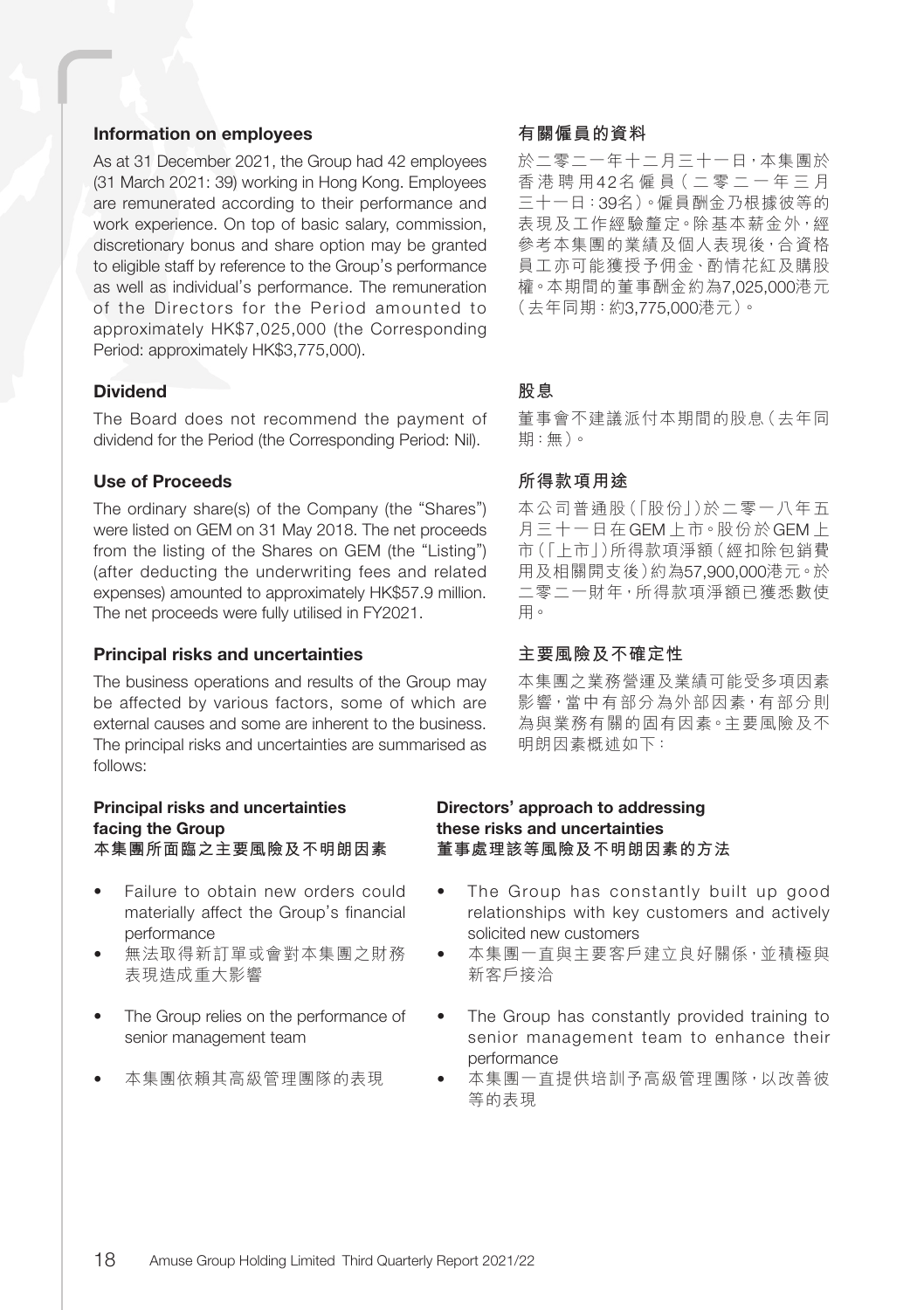## Information on employees

As at 31 December 2021, the Group had 42 employees (31 March 2021: 39) working in Hong Kong. Employees are remunerated according to their performance and work experience. On top of basic salary, commission, discretionary bonus and share option may be granted to eligible staff by reference to the Group's performance as well as individual's performance. The remuneration of the Directors for the Period amounted to approximately HK\$7,025,000 (the Corresponding Period: approximately HK\$3,775,000).

## **Dividend**

The Board does not recommend the payment of dividend for the Period (the Corresponding Period: Nil).

#### Use of Proceeds

The ordinary share(s) of the Company (the "Shares") were listed on GEM on 31 May 2018. The net proceeds from the listing of the Shares on GEM (the "Listing") (after deducting the underwriting fees and related expenses) amounted to approximately HK\$57.9 million. The net proceeds were fully utilised in FY2021.

#### Principal risks and uncertainties

The business operations and results of the Group may be affected by various factors, some of which are external causes and some are inherent to the business. The principal risks and uncertainties are summarised as follows:

# Principal risks and uncertainties facing the Group<br>本集團所面臨之主要風險及不明朗因素

- Failure to obtain new orders could materially affect the Group's financial performance
- 無法取得新訂單或會對本集團之財務 表現造成重大影響
- The Group relies on the performance of senior management team
- 

# **有關僱員的資料**

於二零二一年十二月三十一日,本集團於 香港聘用42名 僱 員( 二 零 二 一 年 三 月 三十一日:39名)。僱員酬金乃根據彼等的 表現及工作經驗釐定。除基本薪金外,經 參考本集團的業績及個人表現後,合資格 員工亦可能獲授予佣金、酌情花紅及購股 權。本期間的董事酬金約為7,025,000港元 (去年同期:約3,775,000港元)。

## **股息**

董事會不建議派付本期間的股息(去年同 期:無)。

#### **所得款項用途**

本公司普通股(「股份」)於二零一八年五 月三十一日在 GEM 上市。股份於 GEM 上 市(「上市」)所得款項淨額(經扣除包銷費 用及相關開支後)約為57,900,000港元。於 二零二一財年,所得款項淨額已獲悉數使 用。

## **主要風險及不確定性**

本集團之業務營運及業績可能受多項因素 影響,當中有部分為外部因素,有部分則 為與業務有關的固有因素。主要風險及不 明朗因素概述如下:

#### Directors' approach to addressing these risks and uncertainties **本集團所面臨之主要風險及不明朗因素 董事處理該等風險及不明朗因素的方法**

- The Group has constantly built up good relationships with key customers and actively solicited new customers
- 本集團一直與主要客戶建立良好關係,並積極與 新客戶接洽
- The Group has constantly provided training to senior management team to enhance their performance
- 本集團依賴其高級管理團隊的表現 本集團一直提供培訓予高級管理團隊,以改善彼 等的表現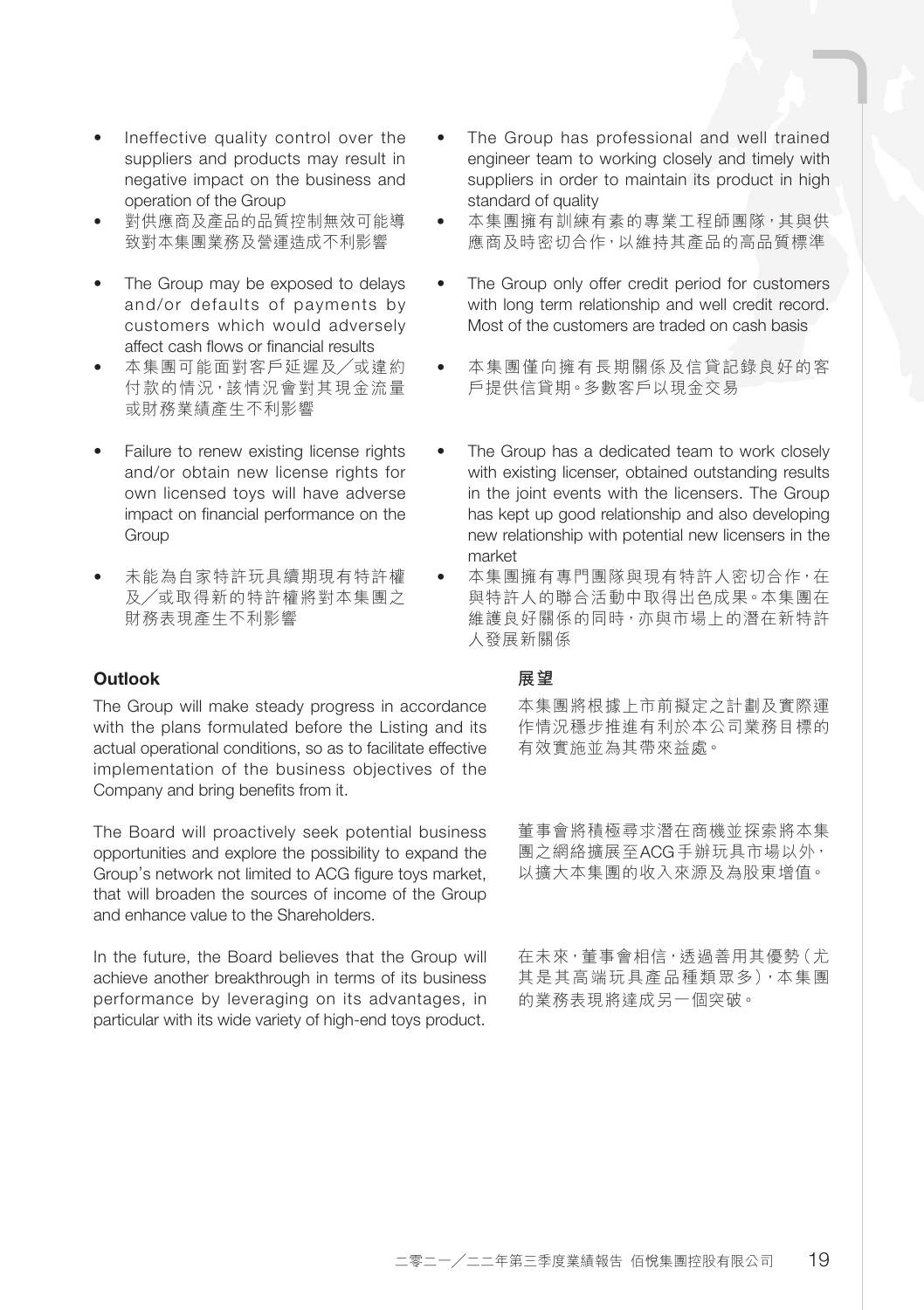- Ineffective quality control over the suppliers and products may result in negative impact on the business and operation of the Group
- 對供應商及產品的品質控制無效可能導 致對本集團業務及營運造成不利影響
- The Group may be exposed to delays and/or defaults of payments by customers which would adversely affect cash flows or financial results
- 本集團可能面對客戶延遲及╱或違約 付款的情況,該情況會對其現金流量 或財務業績產生不利影響
- Failure to renew existing license rights and/or obtain new license rights for own licensed toys will have adverse impact on financial performance on the Group
- 未能為自家特許玩具續期現有特許權 及╱或取得新的特許權將對本集團之 財務表現產生不利影響

# Outlook

The Group will make steady progress in accordance with the plans formulated before the Listing and its actual operational conditions, so as to facilitate effective implementation of the business objectives of the Company and bring benefits from it.

The Board will proactively seek potential business opportunities and explore the possibility to expand the Group's network not limited to ACG figure toys market, that will broaden the sources of income of the Group and enhance value to the Shareholders.

In the future, the Board believes that the Group will achieve another breakthrough in terms of its business performance by leveraging on its advantages, in particular with its wide variety of high-end toys product.

- The Group has professional and well trained engineer team to working closely and timely with suppliers in order to maintain its product in high standard of quality
- 本集團擁有訓練有素的專業工程師團隊,其與供 應商及時密切合作,以維持其產品的高品質標準
- The Group only offer credit period for customers with long term relationship and well credit record. Most of the customers are traded on cash basis
- 本集團僅向擁有長期關係及信貸記錄良好的客 戶提供信貸期。多數客戶以現金交易
- The Group has a dedicated team to work closely with existing licenser, obtained outstanding results in the joint events with the licensers. The Group has kept up good relationship and also developing new relationship with potential new licensers in the market
- 本集團擁有專門團隊與現有特許人密切合作,在 與特許人的聯合活動中取得出色成果。本集團在 維護良好關係的同時,亦與市場上的潛在新特許 人發展新關係

## **展望**

本集團將根據上市前擬定之計劃及實際運 作情況穩步推進有利於本公司業務目標的 有效實施並為其帶來益處。

董事會將積極尋求潛在商機並探索將本集 團之網絡擴展至ACG手辦玩具市場以外, 以擴大本集團的收入來源及為股東增值。

在未來,董事會相信,透過善用其優勢(尤 其是其高端玩具產品種類眾多),本集團 的業務表現將達成另一個突破。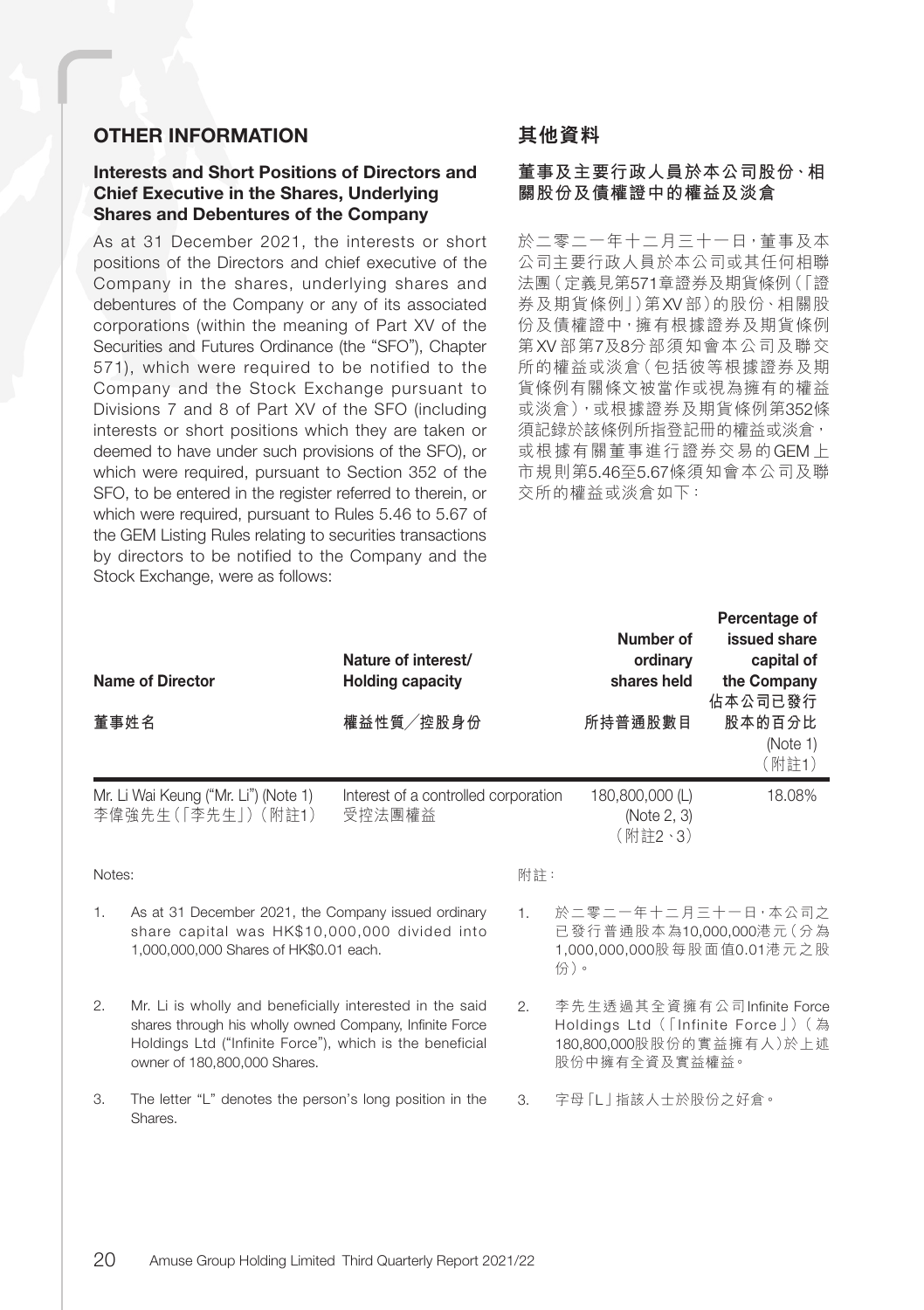# OTHER INFORMATION

# Interests and Short Positions of Directors and Chief Executive in the Shares, Underlying Shares and Debentures of the Company

As at 31 December 2021, the interests or short positions of the Directors and chief executive of the Company in the shares, underlying shares and debentures of the Company or any of its associated corporations (within the meaning of Part XV of the Securities and Futures Ordinance (the "SFO"), Chapter 571), which were required to be notified to the Company and the Stock Exchange pursuant to Divisions 7 and 8 of Part XV of the SFO (including interests or short positions which they are taken or deemed to have under such provisions of the SFO), or which were required, pursuant to Section 352 of the SFO, to be entered in the register referred to therein, or which were required, pursuant to Rules 5.46 to 5.67 of the GEM Listing Rules relating to securities transactions by directors to be notified to the Company and the Stock Exchange, were as follows:

# 其他資料

# **董事及主要行政人員於本公司股份、相 關股份及債權證中的權益及淡倉**

於二零二一年十二月三十一日,董事及本 公司主要行政人員於本公司或其任何相聯 法團(定義見第571章證券及期貨條例(「證 券及期貨條例」)第XV 部)的股份、相關股 份及債權證中,擁有根據證券及期貨條例 第XV 部第7及8分部須知會本公司及聯交 所的權益或淡倉(包括彼等根據證券及期 貨條例有關條文被當作或視為擁有的權益 或淡倉),或根據證券及期貨條例第352條 須記錄於該條例所指登記冊的權益或淡倉, 或根據有關董事進行證券交易的GEM 上 市規則第5.46至5.67條須知會本公司及聯 交所的權益或淡倉如下:

Percentage of

|        | <b>Name of Director</b><br>董事姓名                                                                                                                                                                                 | Nature of interest/<br><b>Holding capacity</b><br>權益性質/控股身份 |     | Number of<br>ordinary<br>shares held<br>所持普通股數目                                                               | issued share<br>capital of<br>the Company<br>佔本公司已發行<br>股本的百分比<br>(Note 1)<br>(附註1) |
|--------|-----------------------------------------------------------------------------------------------------------------------------------------------------------------------------------------------------------------|-------------------------------------------------------------|-----|---------------------------------------------------------------------------------------------------------------|-------------------------------------------------------------------------------------|
|        | Mr. Li Wai Keung ("Mr. Li") (Note 1)<br>李偉強先生(「李先生」)(附註1)                                                                                                                                                       | Interest of a controlled corporation<br>受控法團權益              |     | 180,800,000 (L)<br>(Note 2, 3)<br>(附註2、3)                                                                     | 18.08%                                                                              |
| Notes: |                                                                                                                                                                                                                 |                                                             | 附註: |                                                                                                               |                                                                                     |
| 1.     | As at 31 December 2021, the Company issued ordinary<br>share capital was HK\$10,000,000 divided into<br>1,000,000,000 Shares of HK\$0.01 each.                                                                  |                                                             | 1.  | 於二零二一年十二月三十一日,本公司之<br>已發行普通股本為10,000,000港元(分為<br>1,000,000,000股每股面值0.01港元之股<br>份)。                            |                                                                                     |
| 2.     | Mr. Li is wholly and beneficially interested in the said<br>shares through his wholly owned Company, Infinite Force<br>Holdings Ltd ("Infinite Force"), which is the beneficial<br>owner of 180,800,000 Shares. |                                                             | 2.  | 李先生透過其全資擁有公司Infinite Force<br>Holdings Ltd (「Infinite Force」) (為<br>180,800,000股股份的實益擁有人)於上述<br>股份中擁有全資及實益權益。 |                                                                                     |
| 3.     | The letter "L" denotes the person's long position in the                                                                                                                                                        |                                                             | 3.  | 字母「L」指該人士於股份之好倉。                                                                                              |                                                                                     |

Shares.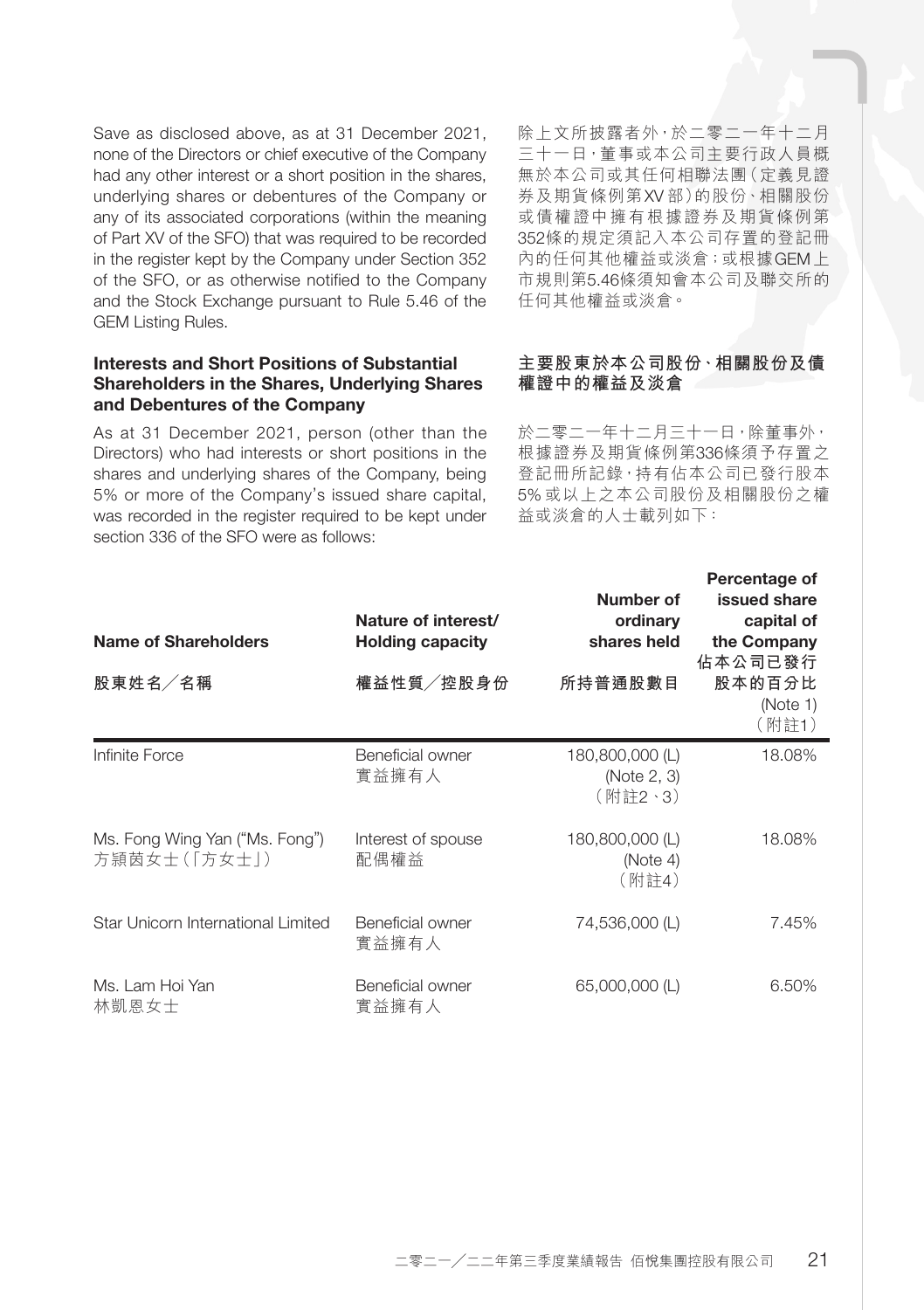Save as disclosed above, as at 31 December 2021, none of the Directors or chief executive of the Company had any other interest or a short position in the shares, underlying shares or debentures of the Company or any of its associated corporations (within the meaning of Part XV of the SFO) that was required to be recorded in the register kept by the Company under Section 352 of the SFO, or as otherwise notified to the Company and the Stock Exchange pursuant to Rule 5.46 of the GEM Listing Rules.

## Interests and Short Positions of Substantial Shareholders in the Shares, Underlying Shares and Debentures of the Company

As at 31 December 2021, person (other than the Directors) who had interests or short positions in the shares and underlying shares of the Company, being 5% or more of the Company's issued share capital, was recorded in the register required to be kept under section 336 of the SFO were as follows:

除上文所披露者外,於二零二一年十二月 三十一日,董事或本公司主要行政人員概 無於本公司或其任何相聯法團(定義見證 券及期貨條例第XV 部)的股份、相關股份 或債權證中擁有根據證券及期貨條例第 352條的規定須記入本公司存置的登記冊 內的任何其他權益或淡倉;或根據GEM上 市規則第5.46條須知會本公司及聯交所的 任何其他權益或淡倉。

#### **主要股東於本公司股份、相關股份及債 權證中的權益及淡倉**

於二零二一年十二月三十一日,除董事外, 根據證券及期貨條例第336條須予存置之 登記冊所記錄,持有佔本公司已發行股本 5% 或以上之本公司股份及相關股份之權 益或淡倉的人士載列如下:

| Name of Shareholders                           | Nature of interest/<br><b>Holding capacity</b> | Number of<br>ordinary<br>shares held      | Percentage of<br>issued share<br>capital of<br>the Company<br>佔本公司已發行 |
|------------------------------------------------|------------------------------------------------|-------------------------------------------|-----------------------------------------------------------------------|
| 股東姓名/名稱                                        | 權益性質/控股身份                                      | 所持普通股數目                                   | 股本的百分比<br>(Note 1)<br>(附註1)                                           |
| Infinite Force                                 | Beneficial owner<br>實益擁有人                      | 180,800,000 (L)<br>(Note 2, 3)<br>(附註2、3) | 18.08%                                                                |
| Ms. Fong Wing Yan ("Ms. Fong")<br>方頴茵女士(「方女士」) | Interest of spouse<br>配偶權益                     | 180,800,000 (L)<br>(Note 4)<br>(附註4)      | 18.08%                                                                |
| Star Unicorn International Limited             | Beneficial owner<br>實益擁有人                      | 74,536,000 (L)                            | 7.45%                                                                 |
| Ms. Lam Hoi Yan<br>林凱恩女士                       | Beneficial owner<br>實益擁有人                      | 65,000,000 (L)                            | 6.50%                                                                 |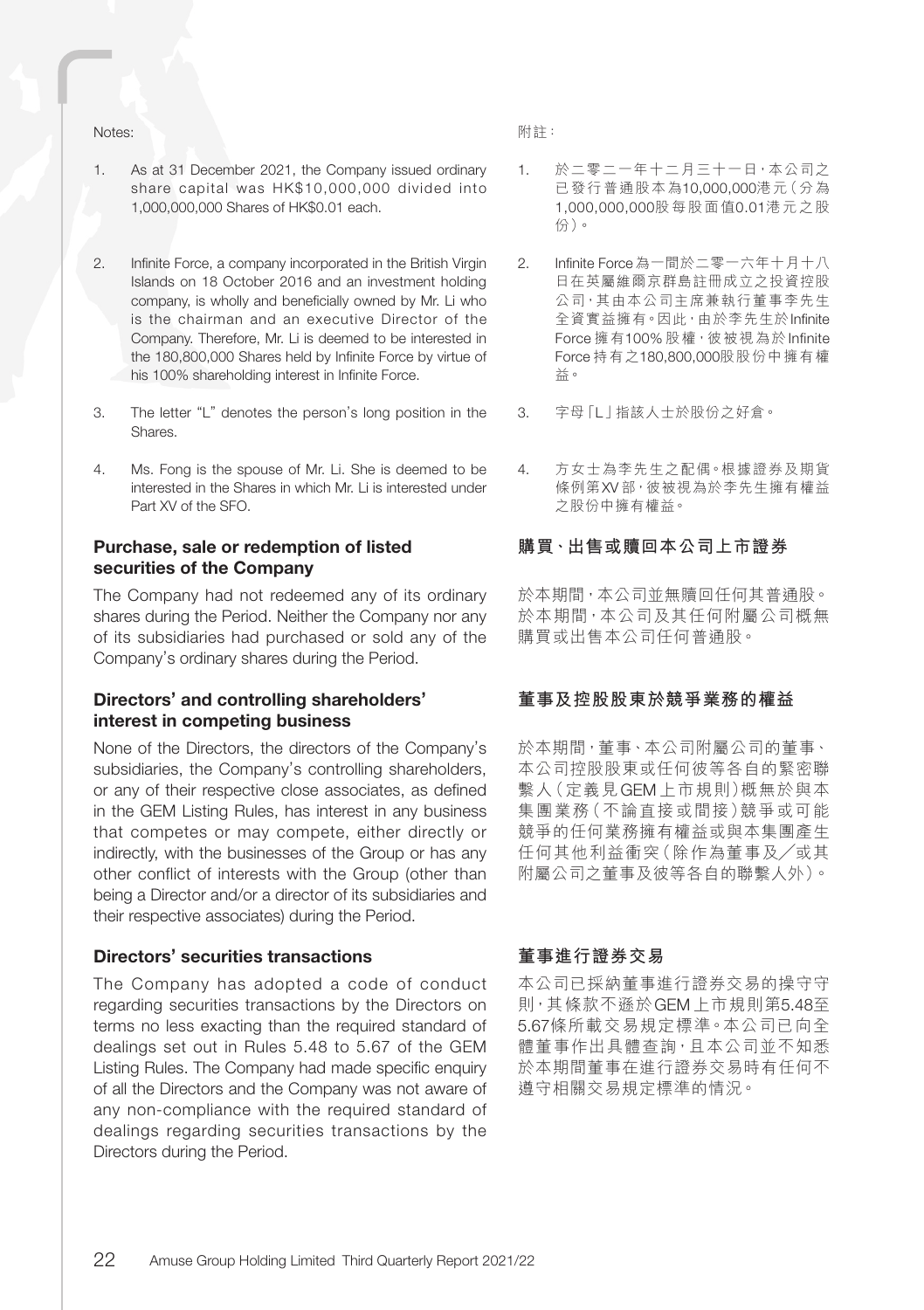#### Notes:

- 1. As at 31 December 2021, the Company issued ordinary share capital was HK\$10,000,000 divided into 1,000,000,000 Shares of HK\$0.01 each.
- 2. Infinite Force, a company incorporated in the British Virgin Islands on 18 October 2016 and an investment holding company, is wholly and beneficially owned by Mr. Li who is the chairman and an executive Director of the Company. Therefore, Mr. Li is deemed to be interested in the 180,800,000 Shares held by Infinite Force by virtue of his 100% shareholding interest in Infinite Force.
- 3. The letter "L" denotes the person's long position in the Shares.
- 4. Ms. Fong is the spouse of Mr. Li. She is deemed to be interested in the Shares in which Mr. Li is interested under Part XV of the SFO.

# Purchase, sale or redemption of listed securities of the Company

The Company had not redeemed any of its ordinary shares during the Period. Neither the Company nor any of its subsidiaries had purchased or sold any of the Company's ordinary shares during the Period.

# Directors' and controlling shareholders' interest in competing business

None of the Directors, the directors of the Company's subsidiaries, the Company's controlling shareholders, or any of their respective close associates, as defined in the GEM Listing Rules, has interest in any business that competes or may compete, either directly or indirectly, with the businesses of the Group or has any other conflict of interests with the Group (other than being a Director and/or a director of its subsidiaries and their respective associates) during the Period.

## Directors' securities transactions

The Company has adopted a code of conduct regarding securities transactions by the Directors on terms no less exacting than the required standard of dealings set out in Rules 5.48 to 5.67 of the GEM Listing Rules. The Company had made specific enquiry of all the Directors and the Company was not aware of any non-compliance with the required standard of dealings regarding securities transactions by the Directors during the Period.

附註:

- 1. 於二零二一年十二月三十一日,本公司之 已發行普通股本為10,000,000港元(分為 1,000,000,000股每股面值0.01港元之股 份)。
- 2. Infinite Force為一間於二零一六年十月十八 日在英屬維爾京群島註冊成立之投資控股 公司,其由本公司主席兼執行董事李先生 全資實益擁有。因此,由於李先生於Infinite Force 擁有100% 股權, 彼被視為於 Infinite Force 持有之180,800,000股股份中擁有權 益。
- 3. 字母「L」指該人士於股份之好倉。
- 4. 方女士為李先生之配偶。根據證券及期貨 條例第XV 部,彼被視為於李先生擁有權益 之股份中擁有權益。

#### **購**買、出售**或**贖回本公司上市證券

於本期間,本公司並無贖回任何其普通股。 於本期間,本公司及其任何附屬公司概無 購買或出售本公司任何普通股。

#### **董事及控股股東於競爭業務的權益**

於本期間,董事、本公司附屬公司的董事、 本公司控股股東或任何彼等各自的緊密聯 繫人(定義見GEM 上市規則)概無於與本 集團業務(不論直接或間接)競爭或可能 競爭的任何業務擁有權益或與本集團產生 任何其他利益衝突(除作為董事及╱或其 附屬公司之董事及彼等各自的聯繫人外)。

#### **董事進行證券交易**

本公司已採納董事進行證券交易的操守守 則,其條款不遜於GEM 上市規則第5.48至 5.67條所載交易規定標準。本公司已向全 體董事作出具體查詢,且本公司並不知悉 於本期間董事在進行證券交易時有任何不 遵守相關交易規定標準的情況。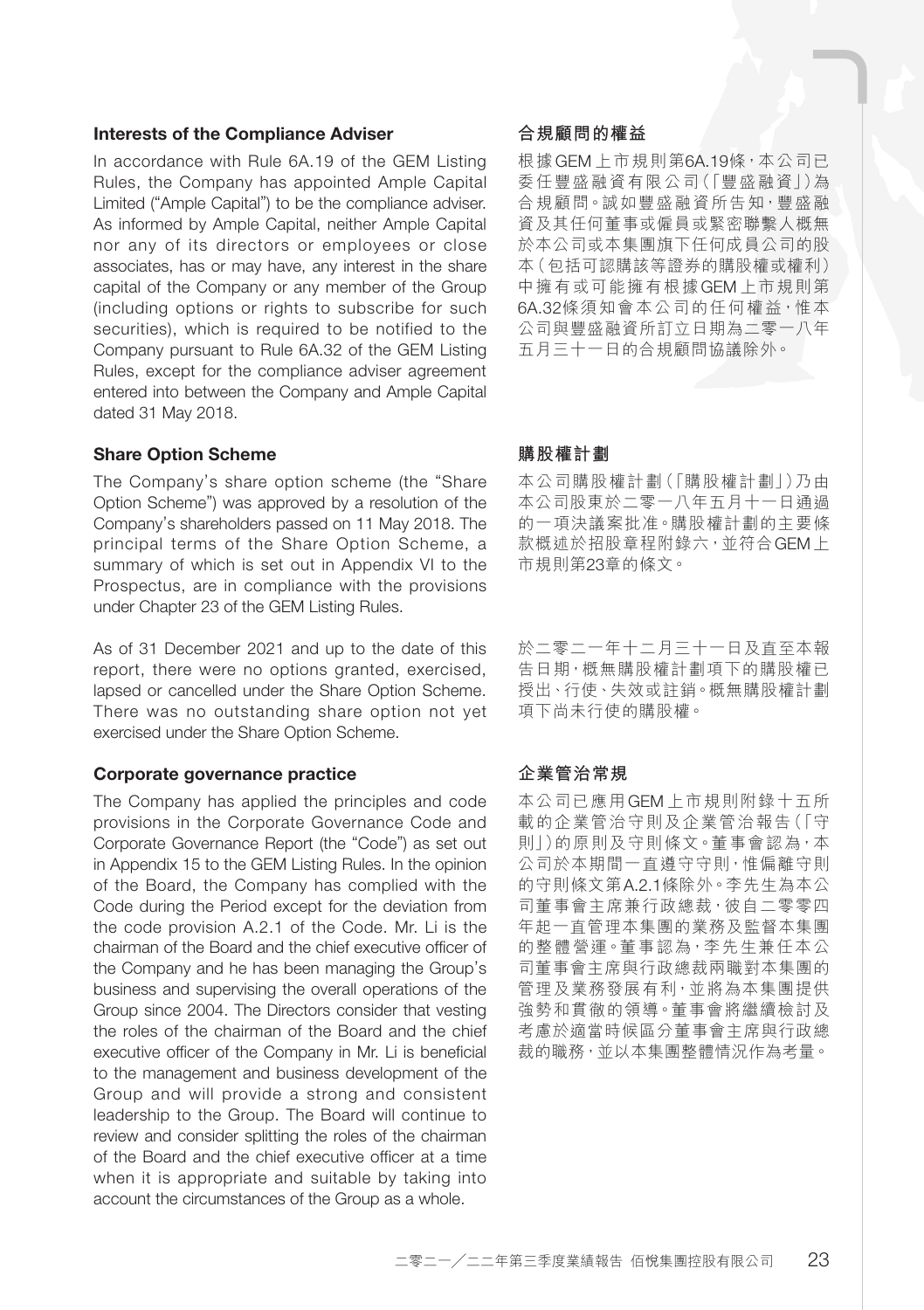#### Interests of the Compliance Adviser

In accordance with Rule 6A.19 of the GEM Listing Rules, the Company has appointed Ample Capital Limited ("Ample Capital") to be the compliance adviser. As informed by Ample Capital, neither Ample Capital nor any of its directors or employees or close associates, has or may have, any interest in the share capital of the Company or any member of the Group (including options or rights to subscribe for such securities), which is required to be notified to the Company pursuant to Rule 6A.32 of the GEM Listing Rules, except for the compliance adviser agreement entered into between the Company and Ample Capital dated 31 May 2018.

#### Share Option Scheme

The Company's share option scheme (the "Share Option Scheme") was approved by a resolution of the Company's shareholders passed on 11 May 2018. The principal terms of the Share Option Scheme, a summary of which is set out in Appendix VI to the Prospectus, are in compliance with the provisions under Chapter 23 of the GEM Listing Rules.

As of 31 December 2021 and up to the date of this report, there were no options granted, exercised, lapsed or cancelled under the Share Option Scheme. There was no outstanding share option not yet exercised under the Share Option Scheme.

#### Corporate governance practice

The Company has applied the principles and code provisions in the Corporate Governance Code and Corporate Governance Report (the "Code") as set out in Appendix 15 to the GEM Listing Rules. In the opinion of the Board, the Company has complied with the Code during the Period except for the deviation from the code provision A.2.1 of the Code. Mr. Li is the chairman of the Board and the chief executive officer of the Company and he has been managing the Group's business and supervising the overall operations of the Group since 2004. The Directors consider that vesting the roles of the chairman of the Board and the chief executive officer of the Company in Mr. Li is beneficial to the management and business development of the Group and will provide a strong and consistent leadership to the Group. The Board will continue to review and consider splitting the roles of the chairman of the Board and the chief executive officer at a time when it is appropriate and suitable by taking into account the circumstances of the Group as a whole.

# **合規顧問的權益**

根據GEM 上市規則第6A.19條,本公司已 委任豐盛融資有限公司(「豐盛融資」)為 合規顧問。誠如豐盛融資所告知,豐盛融 資及其任何董事或僱員或緊密聯繫人概無 於本公司或本集團旗下任何成員公司的股 本(包括可認購該等證券的購股權或權利) 中擁有或可能擁有根據GEM 上市規則第 6A.32條須知會本公司的任何權益,惟本 公司與豐盛融資所訂立日期為二零一八年 五月三十一日的合規顧問協議除外。

#### **購股權計劃**

本公司購股權計劃(「購股權計劃」)乃由 本公司股東於二零一八年五月十一日通過 的一項決議案批准。購股權計劃的主要條 款概述於招股章程附錄六,並符合GEM上 市規則第23章的條文。

於二零二一年十二月三十一日及直至本報 告日期,概無購股權計劃項下的購股權已 授出、行使、失效或註銷。概無購股權計劃 項下尚未行使的購股權。

#### **企業管治常規**

本公司已應用GEM 上市規則附錄十五所 載的企業管治守則及企業管治報告(「守 則」)的原則及守則條文。董事會認為,本 公司於本期間一直遵守守則,惟偏離守則 的守則條文第A.2.1條除外。李先生為本公 司董事會主席兼行政總裁,彼自二零零四 年起一直管理本集團的業務及監督本集團 的整體營運。董事認為,李先生兼任本公 司董事會主席與行政總裁兩職對本集團的 管理及業務發展有利,並將為本集團提供 強勢和貫徹的領導。董事會將繼續檢討及 考慮於適當時候區分董事會主席與行政總 裁的職務,並以本集團整體情況作為考量。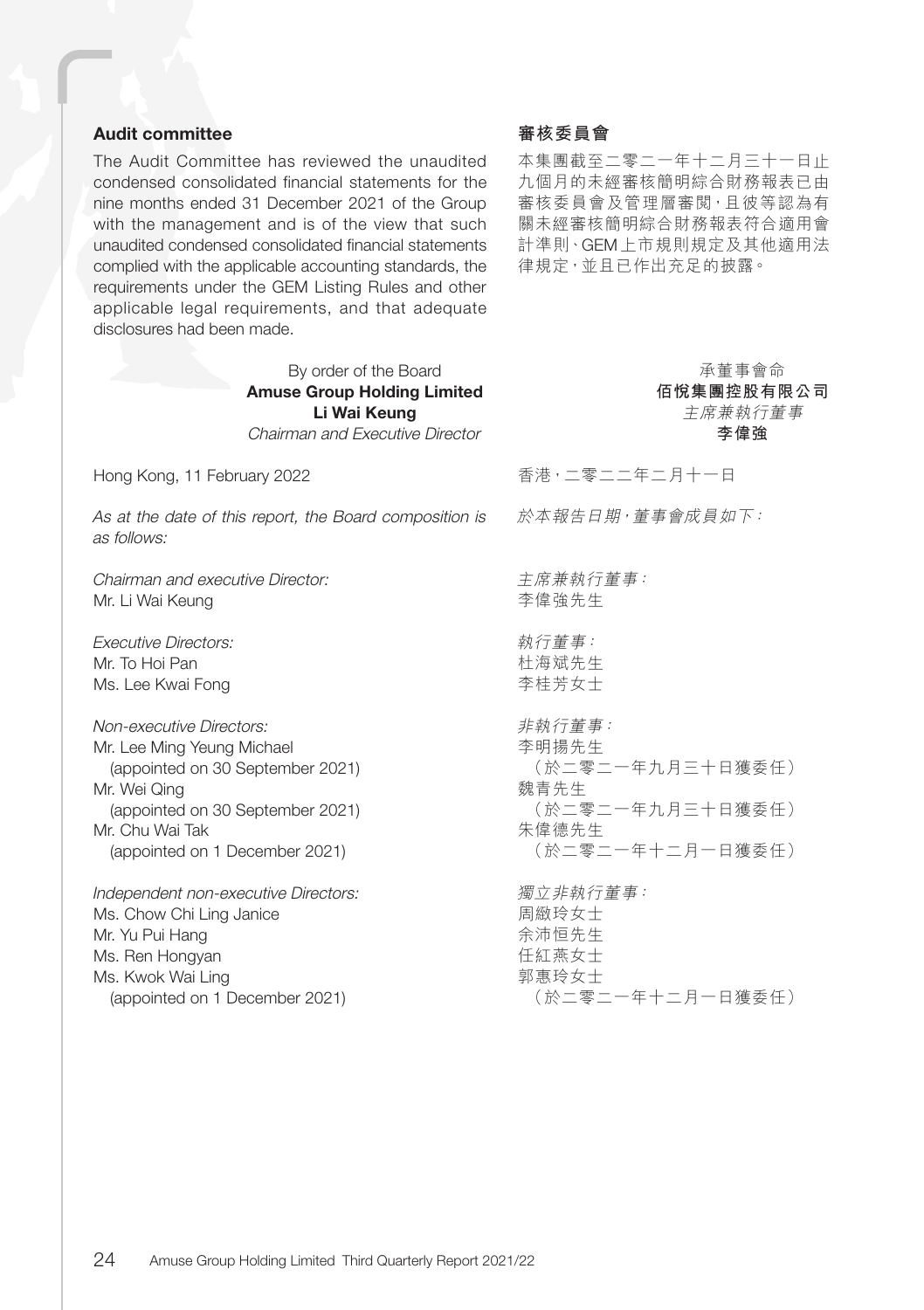# Audit committee

The Audit Committee has reviewed the unaudited condensed consolidated financial statements for the nine months ended 31 December 2021 of the Group with the management and is of the view that such unaudited condensed consolidated financial statements complied with the applicable accounting standards, the requirements under the GEM Listing Rules and other applicable legal requirements, and that adequate disclosures had been made.

| By order of the Board                                                  | 承董事會命            |
|------------------------------------------------------------------------|------------------|
| <b>Amuse Group Holding Limited</b>                                     | 佰悅集團控股有限公司       |
| Li Wai Keung                                                           | 主席兼執行董事          |
| Chairman and Executive Director                                        | 李偉強              |
| Hong Kong, 11 February 2022                                            | 香港,二零二二年二月十一日    |
| As at the date of this report, the Board composition is<br>as follows: | 於本報告日期·董事會成員如下:  |
| Chairman and executive Director:                                       | 主席兼執行董事:         |
| Mr. Li Wai Keung                                                       | 李偉強先生            |
| <b>Executive Directors:</b>                                            | 執行董事:            |
| Mr. To Hoi Pan                                                         | 杜海斌先生            |
| Ms. Lee Kwai Fong                                                      | 李桂芳女十            |
| Non-executive Directors:                                               | 非執行董事:           |
| Mr. Lee Ming Yeung Michael                                             | 李明揚先生            |
| (appointed on 30 September 2021)                                       | (於二零二一年九月三十日獲委仟) |
| Mr. Wei Qing                                                           | 魏青先生             |
| (appointed on 30 September 2021)                                       | (於二零二一年九月三十日獲委任) |
| Mr. Chu Wai Tak                                                        | 朱偉德先生            |
| (appointed on 1 December 2021)                                         | (於二零二一年十二月一日獲委仟) |
| Independent non-executive Directors:                                   | 獨立非執行董事:         |
| Ms. Chow Chi Ling Janice                                               | 周緻玲女士            |
| Mr. Yu Pui Hang                                                        | 余沛恒先生            |
| Ms. Ren Hongyan                                                        | 任紅燕女士            |
| Ms. Kwok Wai Ling                                                      | 郭惠玲女十            |
| (appointed on 1 December 2021)                                         | (於一零-一年十-月一日獲委仟) |

# **審核委員會**

本集團截至二零二一年十二月三十一日止 九個月的未經審核簡明綜合財務報表已由 審核委員會及管理層審閱,且彼等認為有 關未經審核簡明綜合財務報表符合適用會 計準則、GEM上市規則規定及其他適用法 律規定,並且已作出充足的披露。